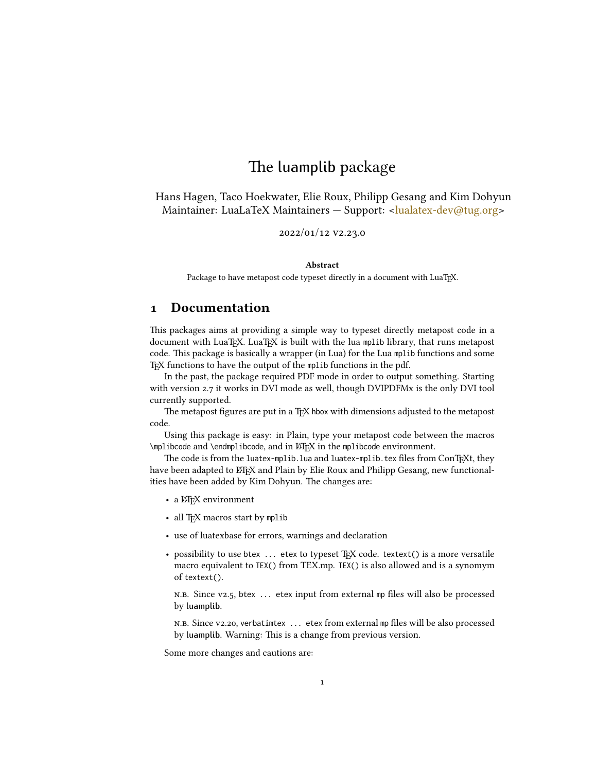## The luamplib package

Hans Hagen, Taco Hoekwater, Elie Roux, Philipp Gesang and Kim Dohyun Maintainer: LuaLaTeX Maintainers - Support: [<lualatex-dev@tug.org>](mailto:lualatex-dev@tug.org)

2022/01/12 v2.23.0

#### Abstract

Package to have metapost code typeset directly in a document with LuaTEX.

## 1 Documentation

This packages aims at providing a simple way to typeset directly metapost code in a document with LuaTEX. LuaTEX is built with the lua mplib library, that runs metapost code. This package is basically a wrapper (in Lua) for the Lua mplib functions and some TEX functions to have the output of the mplib functions in the pdf.

In the past, the package required PDF mode in order to output something. Starting with version 2.7 it works in DVI mode as well, though DVIPDFMx is the only DVI tool currently supported.

The metapost figures are put in a TFX hbox with dimensions adjusted to the metapost code.

Using this package is easy: in Plain, type your metapost code between the macros \mplibcode and \endmplibcode, and in LATEX in the mplibcode environment.

The code is from the luatex-mplib.lua and luatex-mplib.tex files from ConTEXt, they have been adapted to ET<sub>E</sub>X and Plain by Elie Roux and Philipp Gesang, new functionalities have been added by Kim Dohyun. The changes are:

- a ETEX environment
- all TFX macros start by mplib
- use of luatexbase for errors, warnings and declaration
- possibility to use btex ... etex to typeset TFX code. textext() is a more versatile macro equivalent to TEX() from TEX.mp. TEX() is also allowed and is a synomym of textext().

n.b. Since v2.5, btex ... etex input from external mp files will also be processed by luamplib.

n.b. Since v2.20, verbatimtex ... etex from external mp files will be also processed by luamplib. Warning: This is a change from previous version.

Some more changes and cautions are: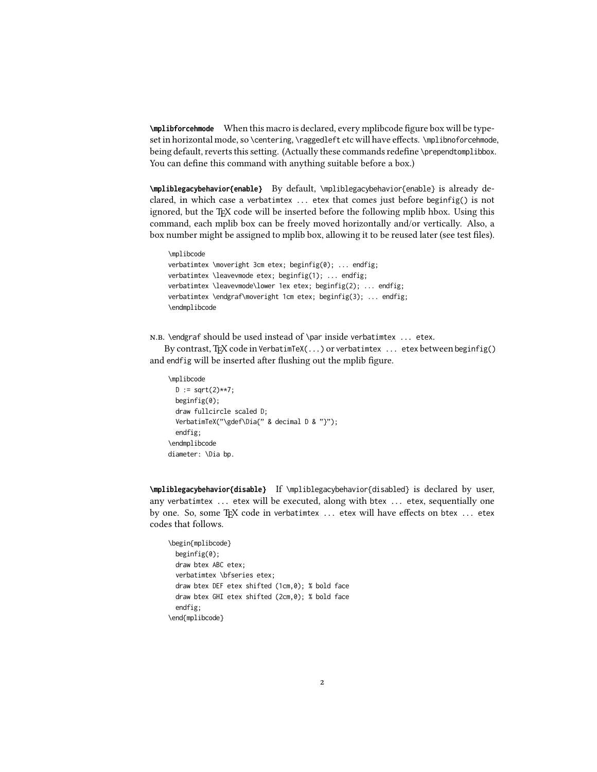**\mplibforcehmode** When this macro is declared, every mplibcode figure box will be typeset in horizontal mode, so \centering, \raggedleft etc will have effects. \mplibnoforcehmode, being default, reverts this setting. (Actually these commands redefine \prependtomplibbox. You can define this command with anything suitable before a box.)

**\mpliblegacybehavior{enable}** By default, \mpliblegacybehavior{enable} is already declared, in which case a verbatimtex ... etex that comes just before beginfig() is not ignored, but the TEX code will be inserted before the following mplib hbox. Using this command, each mplib box can be freely moved horizontally and/or vertically. Also, a box number might be assigned to mplib box, allowing it to be reused later (see test files).

\mplibcode verbatimtex \moveright 3cm etex; beginfig(0); ... endfig; verbatimtex \leavevmode etex; beginfig(1); ... endfig; verbatimtex \leavevmode\lower 1ex etex; beginfig(2); ... endfig; verbatimtex \endgraf\moveright 1cm etex; beginfig(3); ... endfig; \endmplibcode

n.b. \endgraf should be used instead of \par inside verbatimtex ... etex.

By contrast, T<sub>F</sub>X code in VerbatimTeX( $\ldots$ ) or verbatimtex  $\ldots$  etex between beginfig() and endfig will be inserted after flushing out the mplib figure.

```
\mplibcode
  D := sqrt(2)**7;
  beginfig(0);
  draw fullcircle scaled D;
  VerbatimTeX("\gdef\Dia{" & decimal D & "}");
  endfig;
\endmplibcode
diameter: \Dia bp.
```
**\mpliblegacybehavior{disable}** If \mpliblegacybehavior{disabled} is declared by user, any verbatimtex ... etex will be executed, along with btex ... etex, sequentially one by one. So, some TEX code in verbatimtex ... etex will have effects on btex ... etex codes that follows.

```
\begin{mplibcode}
 beginfig(0);
 draw btex ABC etex;
 verbatimtex \bfseries etex;
 draw btex DEF etex shifted (1cm,0); % bold face
 draw btex GHI etex shifted (2cm,0); % bold face
 endfig;
\end{mplibcode}
```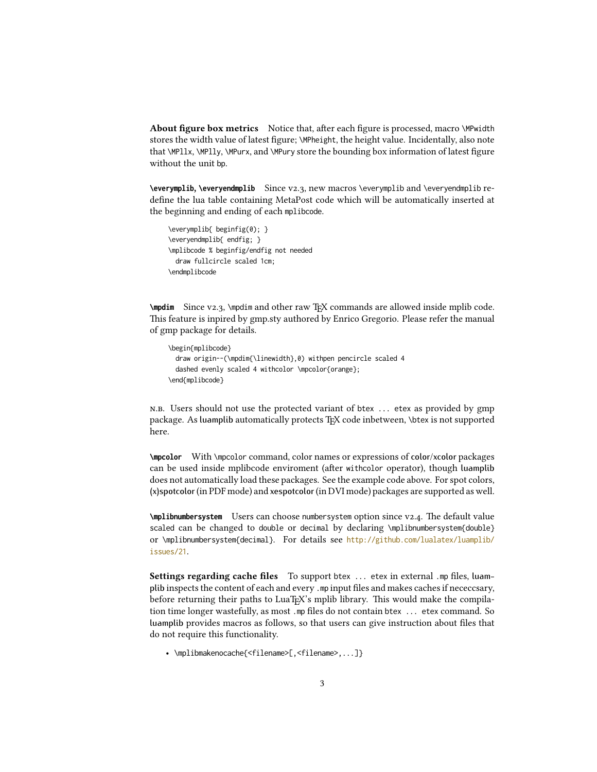About figure box metrics Notice that, after each figure is processed, macro \MPwidth stores the width value of latest figure; \MPheight, the height value. Incidentally, also note that \MPllx, \MPlly, \MPurx, and \MPury store the bounding box information of latest figure without the unit bp.

**\everymplib**, **\everyendmplib** Since v2.3, new macros \everymplib and \everyendmplib redefine the lua table containing MetaPost code which will be automatically inserted at the beginning and ending of each mplibcode.

```
\everymplib{ beginfig(0); }
\everyendmplib{ endfig; }
\mplibcode % beginfig/endfig not needed
 draw fullcircle scaled 1cm;
\endmplibcode
```
**\mpdim** Since v2.3, \mpdim and other raw T<sub>E</sub>X commands are allowed inside mplib code. This feature is inpired by gmp.sty authored by Enrico Gregorio. Please refer the manual of gmp package for details.

```
\begin{mplibcode}
 draw origin--(\mpdim{\linewidth},0) withpen pencircle scaled 4
 dashed evenly scaled 4 withcolor \mpcolor{orange};
\end{mplibcode}
```
n.b. Users should not use the protected variant of btex ... etex as provided by gmp package. As luamplib automatically protects TEX code inbetween, \btex is not supported here.

**\mpcolor** With \mpcolor command, color names or expressions of color/xcolor packages can be used inside mplibcode enviroment (after withcolor operator), though luamplib does not automatically load these packages. See the example code above. For spot colors, (x)spotcolor (in PDF mode) and xespotcolor (in DVI mode) packages are supported as well.

**\mplibnumbersystem** Users can choose numbersystem option since v2.4. The default value scaled can be changed to double or decimal by declaring \mplibnumbersystem{double} or \mplibnumbersystem{decimal}. For details see [http://github.com/lualatex/luamplib/](http://github.com/lualatex/luamplib/issues/21) [issues/21](http://github.com/lualatex/luamplib/issues/21).

Settings regarding cache files To support btex ... etex in external .mp files, luamplib inspects the content of each and every .mp input files and makes caches if nececcsary, before returning their paths to LuaT<sub>EX</sub>'s mplib library. This would make the compilation time longer wastefully, as most .mp files do not contain btex ... etex command. So luamplib provides macros as follows, so that users can give instruction about files that do not require this functionality.

• \mplibmakenocache{<filename>[,<filename>,...]}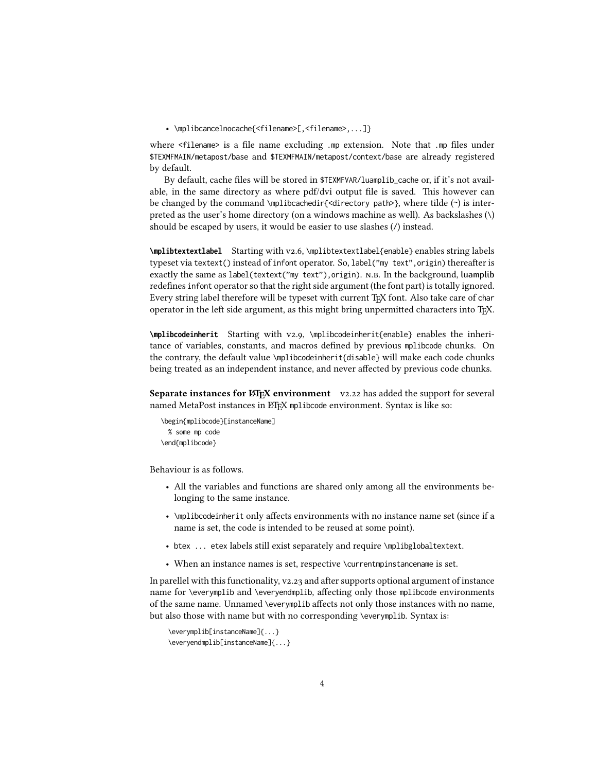• \mplibcancelnocache{<filename>[,<filename>,...]}

where <filename> is a file name excluding .mp extension. Note that .mp files under \$TEXMFMAIN/metapost/base and \$TEXMFMAIN/metapost/context/base are already registered by default.

By default, cache files will be stored in \$TEXMFVAR/luamplib\_cache or, if it's not available, in the same directory as where pdf/dvi output file is saved. This however can be changed by the command \mplibcachedir{<directory path>}, where tilde (~) is interpreted as the user's home directory (on a windows machine as well). As backslashes (\) should be escaped by users, it would be easier to use slashes (/) instead.

**\mplibtextextlabel** Starting with v2.6, \mplibtextextlabel{enable} enables string labels typeset via textext() instead of infont operator. So, label("my text",origin) thereafter is exactly the same as label(textext("my text"), origin). N.B. In the background, luamplib redefines infont operator so that the right side argument (the font part) is totally ignored. Every string label therefore will be typeset with current TFX font. Also take care of char operator in the left side argument, as this might bring unpermitted characters into TEX.

**\mplibcodeinherit** Starting with v2.9, \mplibcodeinherit{enable} enables the inheritance of variables, constants, and macros defined by previous mplibcode chunks. On the contrary, the default value \mplibcodeinherit{disable} will make each code chunks being treated as an independent instance, and never affected by previous code chunks.

Separate instances for LATEX environment v2.22 has added the support for several named MetaPost instances in LATEX mplibcode environment. Syntax is like so:

```
\begin{mplibcode}[instanceName]
 % some mp code
\end{mplibcode}
```
Behaviour is as follows.

- All the variables and functions are shared only among all the environments belonging to the same instance.
- \mplibcodeinherit only affects environments with no instance name set (since if a name is set, the code is intended to be reused at some point).
- btex ... etex labels still exist separately and require \mplibglobaltextext.
- When an instance names is set, respective \currentmpinstancename is set.

In parellel with this functionality, v2.23 and after supports optional argument of instance name for \everymplib and \everyendmplib, affecting only those mplibcode environments of the same name. Unnamed \everymplib affects not only those instances with no name, but also those with name but with no corresponding \everymplib. Syntax is:

```
\everymplib[instanceName]{...}
\everyendmplib[instanceName]{...}
```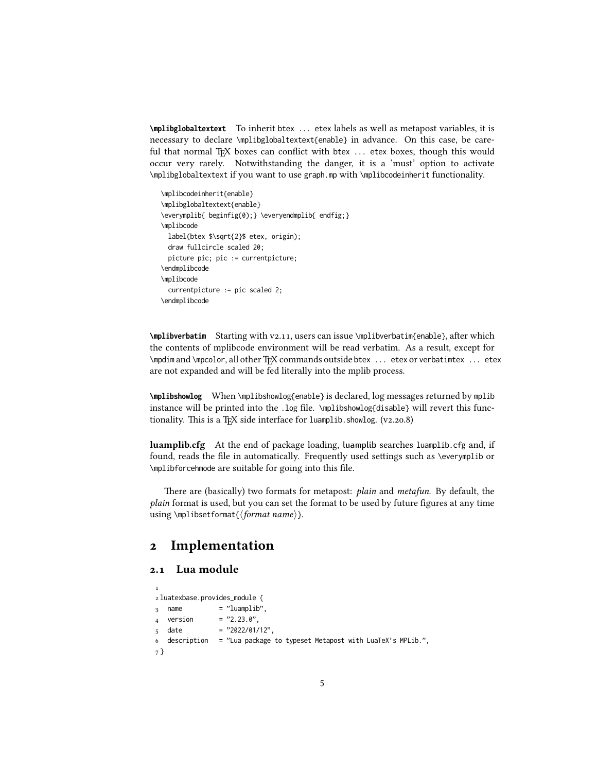**\mplibglobaltextext** To inherit btex ... etex labels as well as metapost variables, it is necessary to declare \mplibglobaltextext{enable} in advance. On this case, be careful that normal T<sub>EX</sub> boxes can conflict with btex ... etex boxes, though this would occur very rarely. Notwithstanding the danger, it is a 'must' option to activate \mplibglobaltextext if you want to use graph.mp with \mplibcodeinherit functionality.

\mplibcodeinherit{enable} \mplibglobaltextext{enable} \everymplib{ beginfig(0);} \everyendmplib{ endfig;} \mplibcode label(btex \$\sqrt{2}\$ etex, origin); draw fullcircle scaled 20; picture pic; pic := currentpicture; \endmplibcode \mplibcode currentpicture := pic scaled 2; \endmplibcode

**\mplibverbatim** Starting with v2.11, users can issue \mplibverbatim{enable}, after which the contents of mplibcode environment will be read verbatim. As a result, except for \mpdim and \mpcolor, all other TEX commands outside btex ... etex or verbatimtex ... etex are not expanded and will be fed literally into the mplib process.

**\mplibshowlog** When \mplibshowlog{enable} is declared, log messages returned by mplib instance will be printed into the .log file. \mplibshowlog{disable} will revert this functionality. This is a T<sub>E</sub>X side interface for luamplib.showlog.  $(v_2.20.8)$ 

luamplib.cfg At the end of package loading, luamplib searches luamplib.cfg and, if found, reads the file in automatically. Frequently used settings such as \everymplib or \mplibforcehmode are suitable for going into this file.

There are (basically) two formats for metapost: plain and metafun. By default, the plain format is used, but you can set the format to be used by future figures at any time using \mplibsetformat{ $\{formation$  name}.

## 2 Implementation

#### 2.1 Lua module

```
1
2 luatexbase.provides_module {
3 name = "luamplib",
4 version = "2.23.0",
5 date = "2022/01/12",
6 description = "Lua package to typeset Metapost with LuaTeX's MPLib.",
7 }
```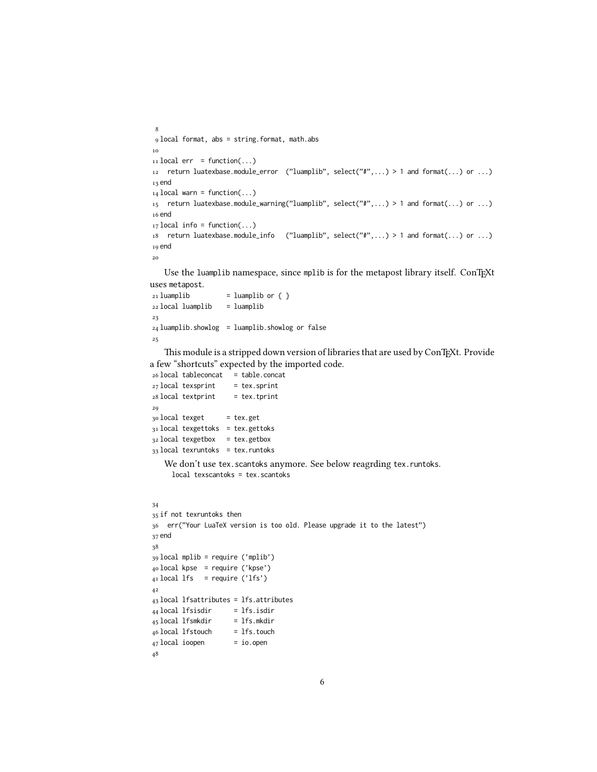```
8
 9 local format, abs = string.format, math.abs
10
_{11} local err = function(...)
12 return luatexbase.module_error ("luamplib", select("#",...) > 1 and format(...) or ...)
13 end
_{14} local warn = function(...)
15 return luatexbase.module_warning("luamplib", select("#",...) > 1 and format(...) or ...)
16 end
_{17} local info = function(...)
18 return luatexbase.module_info ("luamplib", select("#",...) > 1 and format(...) or ...)
19 end
20
```
Use the luamplib namespace, since mplib is for the metapost library itself. ConTEXt uses metapost.

```
_{21} luamplib = luamplib or { }
22 local luamplib = luamplib
23
24 luamplib.showlog = luamplib.showlog or false
25
```
This module is a stripped down version of libraries that are used by ConTEXt. Provide a few "shortcuts" expected by the imported code.

```
26 local tableconcat = table.concat
27 local texsprint = tex.sprint
28 local textprint = tex.tprint
29
30 local texget = tex.get
31 local texgettoks = tex.gettoks
32 local texgetbox = tex.getbox
33 local texruntoks = tex.runtoks
   We don't use tex.scantoks anymore. See below reagrding tex.runtoks.
     local texscantoks = tex.scantoks
34
35 if not texruntoks then
36 err("Your LuaTeX version is too old. Please upgrade it to the latest")
37 end
38
39 local mplib = require ('mplib')
40 local kpse = require ('kpse')
41 local lfs = require ('lfs')
42
43 local lfsattributes = lfs.attributes
_{44} local lfsisdir = lfs.isdir
45 local lfsmkdir = lfs.mkdir
46 local lfstouch = lfs.touch
47 local ioopen = io.open
```

```
48
```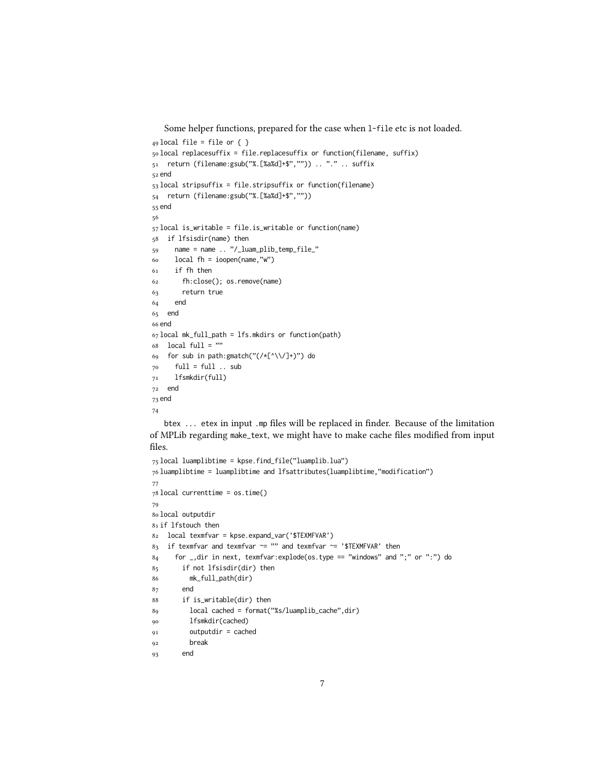Some helper functions, prepared for the case when l-file etc is not loaded.

```
_{49} local file = file or { }
50 local replacesuffix = file.replacesuffix or function(filename, suffix)
51 return (filename:gsub("%.[%a%d]+$","")) .. "." .. suffix
52 end
53 local stripsuffix = file.stripsuffix or function(filename)
54 return (filename:gsub("%.[%a%d]+$",""))
55 end
56
57 local is_writable = file.is_writable or function(name)
58 if lfsisdir(name) then
59 name = name .. "/_luam_plib_temp_file_"
60 \log 1 fh = ioopen(name,"w")
61 if fh then
62 fh:close(); os.remove(name)
63 return true
64 end
65 end
66 end
67 local mk_full_path = lfs.mkdirs or function(path)
68 local full = ""
69 for sub in path:gmatch("(/*[^\\/]+)") do
70 full = full .. sub
71 lfsmkdir(full)
72 end
73 end
74
   btex ... etex in input .mp files will be replaced in finder. Because of the limitation
of MPLib regarding make_text, we might have to make cache files modified from input
files.
```

```
75 local luamplibtime = kpse.find_file("luamplib.lua")
76 luamplibtime = luamplibtime and lfsattributes(luamplibtime,"modification")
77
78 local currenttime = os.time()
79
80 local outputdir
81 if lfstouch then
82 local texmfvar = kpse.expand_var('$TEXMFVAR')
83 if texmfvar and texmfvar \sim= "" and texmfvar \sim= '$TEXMFVAR' then
84 for _,dir in next, texmfvar:explode(os.type == "windows" and ";" or ":") do
85 if not lfsisdir(dir) then
86 mk_full_path(dir)
87 end
88 if is_writable(dir) then
89 local cached = format("%s/luamplib_cache",dir)
90 lfsmkdir(cached)
91 outputdir = cached
92 break
93 end
```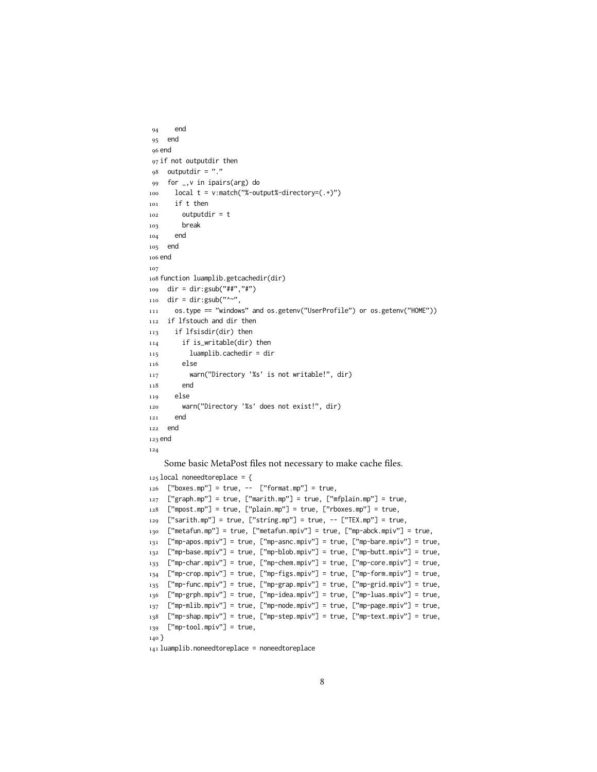```
94 end
95 end
96 end
97 if not outputdir then
98 outputdir = "."
99 for _,v in ipairs(arg) do
100 local t = v:match("%-output%-directory=(.+)")
101 if t then
102 outputdir = t
103 break
104 end
105 end
106 end
107
108 function luamplib.getcachedir(dir)
109 dir = dir:gsub("##","#")
_{110} dir = dir:gsub("^~",
111 os.type == "windows" and os.getenv("UserProfile") or os.getenv("HOME"))
112 if lfstouch and dir then
113 if lfsisdir(dir) then
114 if is_writable(dir) then
115 luamplib.cachedir = dir
116 else
117 warn("Directory '%s' is not writable!", dir)
118 end
119 else
120 warn("Directory '%s' does not exist!", dir)
121 end
122 end
123 end
124
   Some basic MetaPost files not necessary to make cache files.
125 local noneedtoreplace = {
```

```
126 ["boxes.mp"] = true, -- ["format.mp"] = true,
127 ["graph.mp"] = true, ["marith.mp"] = true, ["mfplain.mp"] = true,
128 ["mpost.mp"] = true, ["plain.mp"] = true, ["rboxes.mp"] = true,
129 ["sarith.mp"] = true, ["string.mp"] = true, -- ["TEX.mp"] = true,
130 ["metafun.mp"] = true, ["metafun.mpiv"] = true, ["mp-abck.mpiv"] = true,
131 ["mp-apos.mpiv"] = true, ["mp-asnc.mpiv"] = true, ["mp-bare.mpiv"] = true,
132 ["mp-base.mpiv"] = true, ["mp-blob.mpiv"] = true, ["mp-butt.mpiv"] = true,
133 ["mp-char.mpiv"] = true, ["mp-chem.mpiv"] = true, ["mp-core.mpiv"] = true,
134 ["mp-crop.mpiv"] = true, ["mp-figs.mpiv"] = true, ["mp-form.mpiv"] = true,
135 ["mp-func.mpiv"] = true, ["mp-grap.mpiv"] = true, ["mp-grid.mpiv"] = true,
136 ["mp-grph.mpiv"] = true, ["mp-idea.mpiv"] = true, ["mp-luas.mpiv"] = true,
137 ["mp-mlib.mpiv"] = true, ["mp-node.mpiv"] = true, ["mp-page.mpiv"] = true,
138 ["mp-shap.mpiv"] = true, ["mp-step.mpiv"] = true, ["mp-text.mpiv"] = true,
139 ["mp-tool.mpiv"] = true,
140 }
```
 $_{141}$  luamplib.noneedtoreplace = noneedtoreplace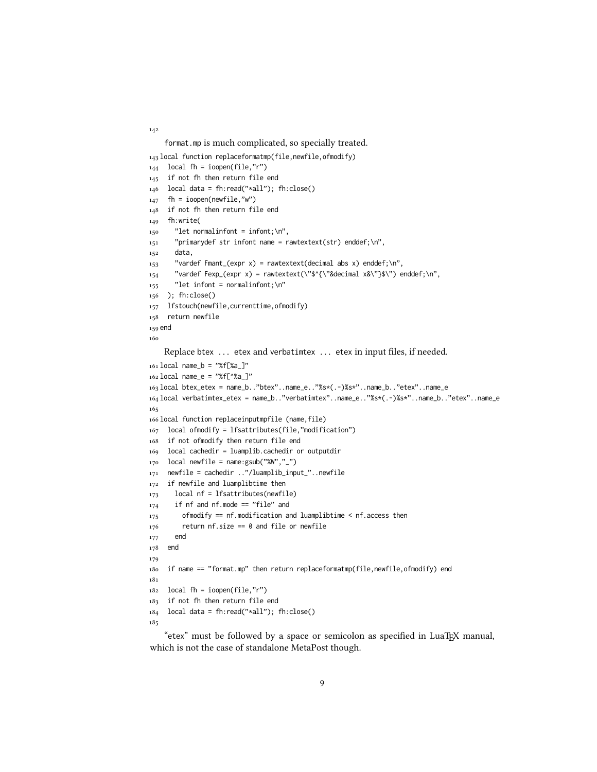format.mp is much complicated, so specially treated.

```
143 local function replaceformatmp(file,newfile,ofmodify)
_{144} local fh = ioopen(file,"r")
145 if not fh then return file end
146 local data = fh:read("*all"); fh:close()
_{147} fh = ioopen(newfile,"w")
148 if not fh then return file end
149 fh:write(
150 "let normalinfont = infont;\n",
151 "primarydef str infont name = rawtextext(str) enddef;\n",
152 data,
153 "vardef Fmant_(expr x) = rawtextext(decimal abs x) enddef;\n",
154 "vardef Fexp_(expr x) = rawtextext(\"$^{\"&decimal x&\"}$\") enddef;\n",
_{155} "let infont = normalinfont; \n"
156 ); fh:close()
157 lfstouch(newfile,currenttime,ofmodify)
158 return newfile
159 end
160
    Replace btex ... etex and verbatimtex ... etex in input files, if needed.
161 local name_b = "%f[%a_]"
162 local name_e = "%f[^%a_]"
163 local btex_etex = name_b.."btex"..name_e.."%s*(.-)%s*"..name_b.."etex"..name_e
164 local verbatimtex_etex = name_b.."verbatimtex"..name_e.."%s*(.-)%s*"..name_b.."etex"..name_e
165
166 local function replaceinputmpfile (name, file)
167 local ofmodify = lfsattributes(file,"modification")
168 if not ofmodify then return file end
169 local cachedir = luamplib.cachedir or outputdir
_{170} local newfile = name:gsub("%W","_")
171 newfile = cachedir .."/luamplib_input_"..newfile
172 if newfile and luamplibtime then
173 local nf = lfsattributes(newfile)
_{174} if nf and nf.mode == "file" and
175 ofmodify == nf.modification and luamplibtime \leq nf.access then
176 return nf.size == 0 and file or newfile
177 end
178 end
179
180 if name == "format.mp" then return replaceformatmp(file,newfile,ofmodify) end
181
182 local fh = ioopen(file,"r")
183 if not fh then return file end
184 local data = fh:read("*all"); fh:close()
185
```
"etex" must be followed by a space or semicolon as specified in LuaTEX manual, which is not the case of standalone MetaPost though.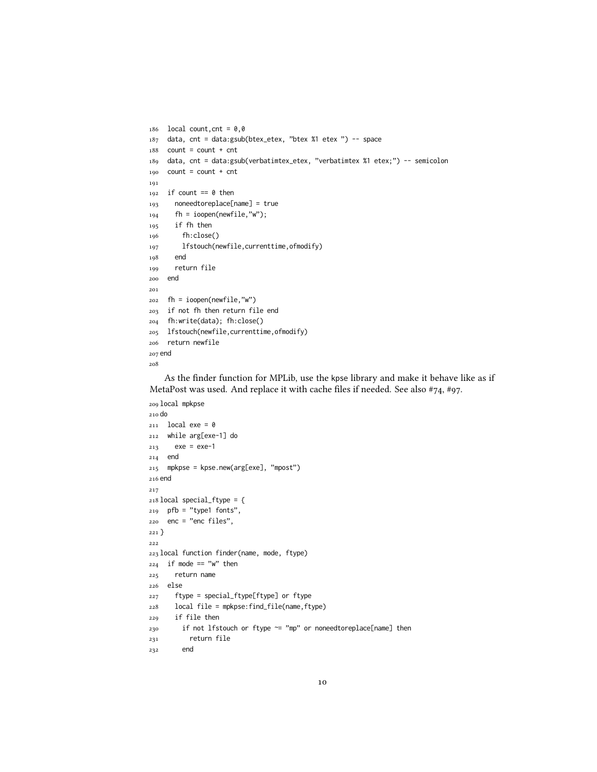```
186 local count, cnt = 0,0187 data, cnt = data:gsub(btex_etex, "btex %1 etex ") -- space
188 count = count + cnt
189 data, cnt = data:gsub(verbatimtex_etex, "verbatimtex %1 etex;") -- semicolon
190 count = count + cnt
191
_{192} if count == 0 then
193 noneedtoreplace[name] = true
194 fh = ioopen(newfile,"w");
195 if fh then
196 fh:close()
197 lfstouch(newfile,currenttime,ofmodify)
198 end
199 return file
200 end
201
202 fh = ioopen(newfile,"w")
203 if not fh then return file end
204 fh:write(data); fh:close()
205 lfstouch(newfile,currenttime,ofmodify)
206 return newfile
207 end
208
```
As the finder function for MPLib, use the kpse library and make it behave like as if MetaPost was used. And replace it with cache files if needed. See also #74, #97.

```
209 local mpkpse
210 do
211 local exe = 0
212 while arg[exe-1] do
213 exe = exe-1
214 end
215 mpkpse = kpse.new(arg[exe], "mpost")
216 end
217
218 local special_ftype = {
219 pfb = "type1 fonts",
220 enc = "enc files",
221 }
222
223 local function finder(name, mode, ftype)
224 if mode == "w" then
225 return name
226 else
227 ftype = special_ftype[ftype] or ftype
228 local file = mpkpse:find_file(name,ftype)
229 if file then
_{230} if not lfstouch or ftype \sim= "mp" or noneedtoreplace[name] then
231 return file
232 end
```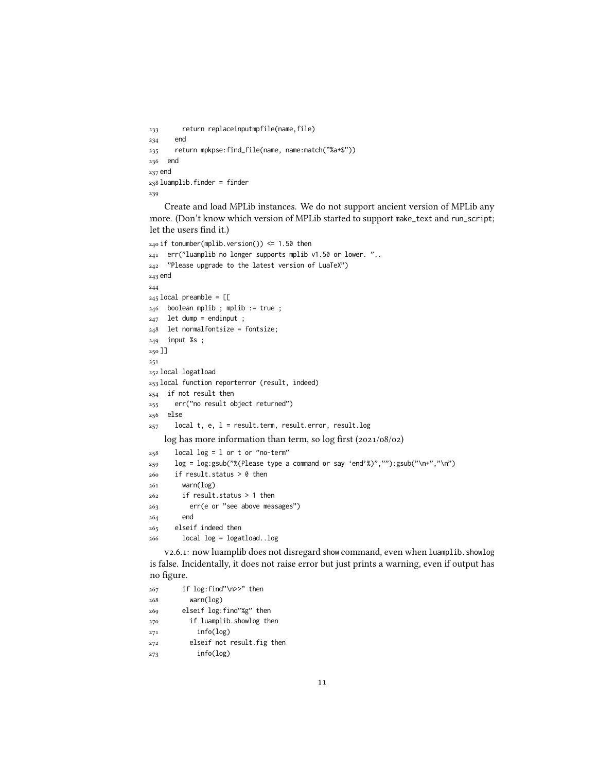```
233 return replaceinputmpfile(name,file)
234 end
235 return mpkpse:find_file(name, name:match("%a+$"))
236 end
237 end
238 luamplib.finder = finder
239
```
Create and load MPLib instances. We do not support ancient version of MPLib any more. (Don't know which version of MPLib started to support make\_text and run\_script; let the users find it.)

```
240 if tonumber(mplib.version()) <= 1.50 then
241 err("luamplib no longer supports mplib v1.50 or lower. "..
242 "Please upgrade to the latest version of LuaTeX")
243 end
244
245 local preamble = [L]246 boolean mplib ; mplib := true ;
247 let dump = endinput ;
248 let normalfontsize = fontsize;
249 input %s;
250 ]]
251
252 local logatload
253 local function reporterror (result, indeed)
254 if not result then
255 err("no result object returned")
256 else
257 local t, e, l = result.term, result.error, result.log
    log has more information than term, so log first (2021/08/02)
258 local log = 1 or t or "no-term"
259 log = log:gsub("%(Please type a command or say 'end'%)",""):gsub("\n+","\n")
260 if result.status > 0 then
261 warn(log)
262 if result.status > 1 then
263 err(e or "see above messages")
264 end
265 elseif indeed then
266 local log = logatload..log
```
v2.6.1: now luamplib does not disregard show command, even when luamplib.showlog is false. Incidentally, it does not raise error but just prints a warning, even if output has no figure.

```
267 if log:find"\n>>" then
268 warn(log)
269 elseif log:find"%g" then
270 if luamplib.showlog then
271 info(log)
272 elseif not result.fig then
273 info(log)
```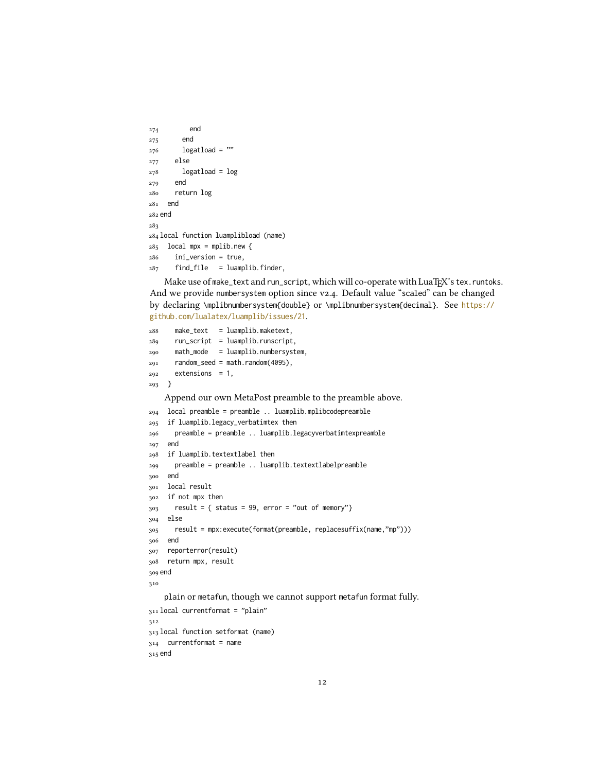```
274 end
275 end
276 logatload = ""
277 else
278 logatload = log
279 end
280 return log
281 end
282 end
283
284 local function luamplibload (name)
285 local mpx = mplib.new {
286 ini_version = true,
287 find_file = luamplib.finder,
```
Make use of make\_text and run\_script, which will co-operate with LuaTEX's tex.runtoks. And we provide numbersystem option since v2.4. Default value "scaled" can be changed by declaring \mplibnumbersystem{double} or \mplibnumbersystem{decimal}. See [https://](https://github.com/lualatex/luamplib/issues/21) [github.com/lualatex/luamplib/issues/21](https://github.com/lualatex/luamplib/issues/21).

```
288 make_text = luamplib.maketext,
289 run_script = luamplib.runscript,
290 math_mode = luamplib.numbersystem,
291 random_seed = math.random(4095),
292 extensions = 1,
293 }
    Append our own MetaPost preamble to the preamble above.
294 local preamble = preamble .. luamplib.mplibcodepreamble
295 if luamplib.legacy_verbatimtex then
296 preamble = preamble .. luamplib.legacyverbatimtexpreamble
297 end
298 if luamplib.textextlabel then
299 preamble = preamble .. luamplib.textextlabelpreamble
300 end
301 local result
302 if not mpx then
303 result = { status = 99, error = "out of memory"}
304 else
305 result = mpx:execute(format(preamble, replacesuffix(name,"mp")))
306 end
307 reporterror(result)
308 return mpx, result
309 end
310
    plain or metafun, though we cannot support metafun format fully.
311 local currentformat = "plain"
312
313 local function setformat (name)
314 currentformat = name
315 end
```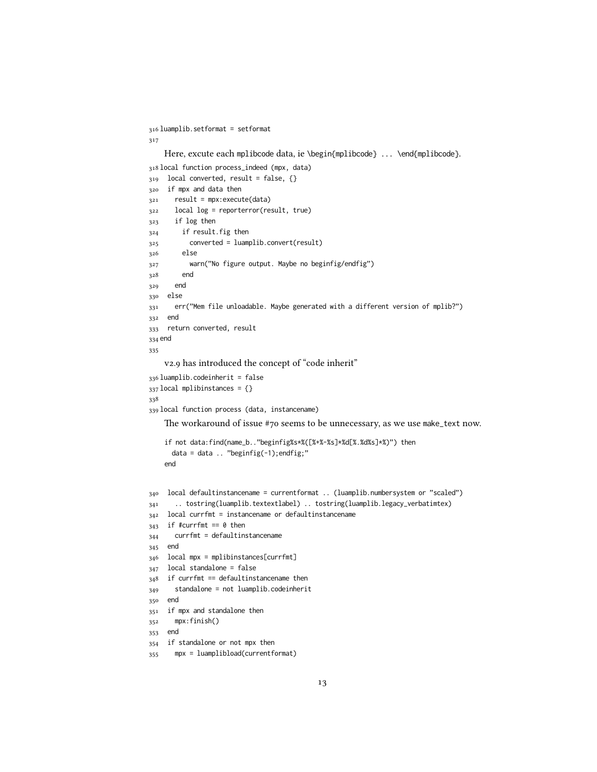```
316 luamplib.setformat = setformat
317
    Here, excute each mplibcode data, ie \begin{mplibcode} ... \end{mplibcode}.
318 local function process_indeed (mpx, data)
319 local converted, result = false, {}
320 if mpx and data then
321 result = mpx:execute(data)
322 local log = reporterror(result, true)
323 if log then
324 if result.fig then
325 converted = luamplib.convert(result)
326 else
327 warn("No figure output. Maybe no beginfig/endfig")
328 end
329 end
330 else
331 err("Mem file unloadable. Maybe generated with a different version of mplib?")
332 end
333 return converted, result
334 end
335
    v2.9 has introduced the concept of "code inherit"
336 luamplib.codeinherit = false
337 local mplibinstances = {}
338
339 local function process (data, instancename)
    The workaround of issue #70 seems to be unnecessary, as we use make_text now.
    if not data:find(name_b.."beginfig%s*%([%+%-%s]*%d[%.%d%s]*%)") then
      data = data \ldots "beginfig(-1); endfig;"
    end
340 local defaultinstancename = currentformat .. (luamplib.numbersystem or "scaled")
341 .. tostring(luamplib.textextlabel) .. tostring(luamplib.legacy_verbatimtex)
342 local currfmt = instancename or defaultinstancename
343 if #currfmt == 0 then
344 currfmt = defaultinstancename
345 end
346 local mpx = mplibinstances[currfmt]
347 local standalone = false
348 if currfmt == defaultinstancename then
349 standalone = not luamplib.codeinherit
350 end
351 if mpx and standalone then
352 mpx:finish()
353 end
354 if standalone or not mpx then
355 mpx = luamplibload(currentformat)
```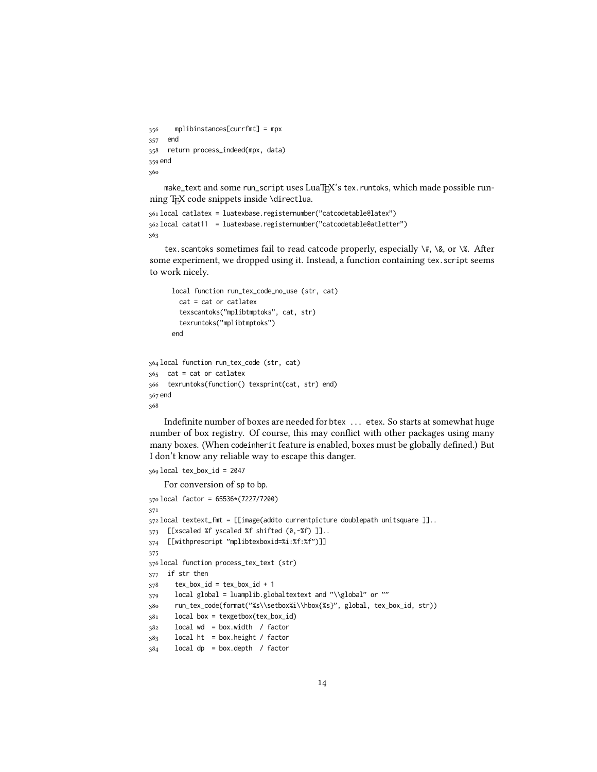```
356 mplibinstances[currfmt] = mpx
357 end
358 return process_indeed(mpx, data)
359 end
360
```
make\_text and some run\_script uses LuaTEX's tex.runtoks, which made possible running T<sub>F</sub>X code snippets inside \directlua.

```
361 local catlatex = luatexbase.registernumber("catcodetable@latex")
362 local catat11 = luatexbase.registernumber("catcodetable@atletter")
363
```
tex.scantoks sometimes fail to read catcode properly, especially  $\setminus \#$ ,  $\&$ , or  $\&$ . After some experiment, we dropped using it. Instead, a function containing tex.script seems to work nicely.

```
local function run_tex_code_no_use (str, cat)
        cat = cat or catlatex
        texscantoks("mplibtmptoks", cat, str)
        texruntoks("mplibtmptoks")
      end
364 local function run_tex_code (str, cat)
365 cat = cat or catlatex
366 texruntoks(function() texsprint(cat, str) end)
367 end
368
```
Indefinite number of boxes are needed for btex ... etex. So starts at somewhat huge number of box registry. Of course, this may conflict with other packages using many many boxes. (When codeinherit feature is enabled, boxes must be globally defined.) But I don't know any reliable way to escape this danger.

```
369 local tex_box_id = 2047
```
For conversion of sp to bp.

```
370 local factor = 65536*(7227/7200)
371
372 local textext_fmt = [[image(addto currentpicture doublepath unitsquare ]]..
373 [[xscaled %f yscaled %f shifted (0,-%f) ]]..
374 [[withprescript "mplibtexboxid=%i:%f:%f")]]
375
376 local function process_tex_text (str)
377 if str then
378 tex_box_id = tex_box_id + 1
379 local global = luamplib.globaltextext and "\\global" or ""
380 run_tex_code(format("%s\\setbox%i\\hbox{%s}", global, tex_box_id, str))
381 local box = texgetbox(tex_box_id)
382 local wd = box.width / factor
383 local ht = box.height / factor
384 local dp = box.depth / factor
```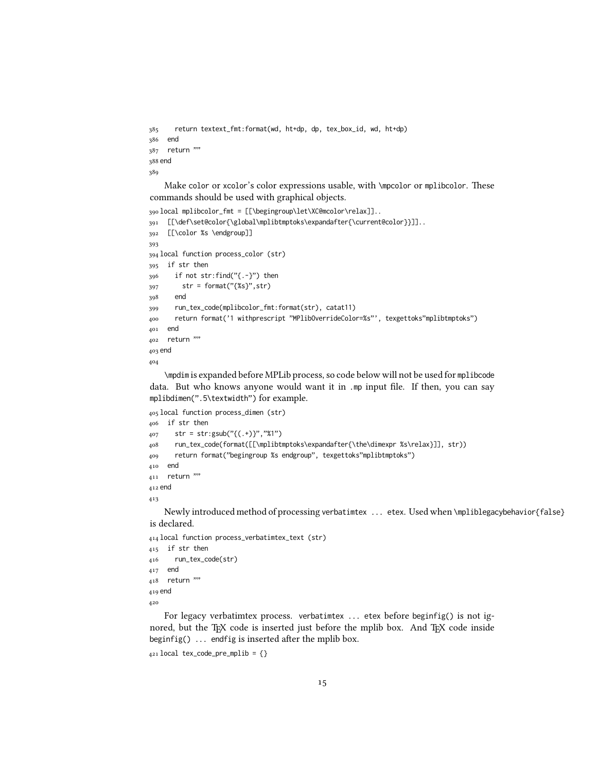```
385 return textext_fmt:format(wd, ht+dp, dp, tex_box_id, wd, ht+dp)
386 end
387 return ""
388 end
389
```
Make color or xcolor's color expressions usable, with \mpcolor or mplibcolor. These commands should be used with graphical objects.

```
390 local mplibcolor_fmt = [[\begingroup\let\XC@mcolor\relax]]..
391 [[\def\set@color{\global\mplibtmptoks\expandafter{\current@color}}]]..
392 [[\color %s \endgroup]]
393
394 local function process_color (str)
395 if str then
396 if not str:find("{.-}") then
397 str = format("{%s}", str)
398 end
399 run_tex_code(mplibcolor_fmt:format(str), catat11)
400 return format('1 withprescript "MPlibOverrideColor=%s"', texgettoks"mplibtmptoks")
401 end
402 return ""
403 end
404
```
\mpdim is expanded before MPLib process, so code below will not be used for mplibcode data. But who knows anyone would want it in .mp input file. If then, you can say mplibdimen(".5\textwidth") for example.

```
405 local function process_dimen (str)
406 if str then
407 str = str:gsub("{(.+)}","%1")
408 run_tex_code(format([[\mplibtmptoks\expandafter{\the\dimexpr %s\relax}]], str))
409 return format("begingroup %s endgroup", texgettoks"mplibtmptoks")
410 end
411 return ""
412 end
413
```
Newly introduced method of processing verbatimtex ... etex. Used when \mpliblegacybehavior{false} is declared.

```
414 local function process_verbatimtex_text (str)
415 if str then
416 run_tex_code(str)
417 end
418 return ""
419 end
420
```
For legacy verbatimtex process. verbatimtex ... etex before beginfig() is not ignored, but the T<sub>EX</sub> code is inserted just before the mplib box. And T<sub>EX</sub> code inside beginfig() ... endfig is inserted after the mplib box.

```
421 local tex_code_pre_mplib = {}
```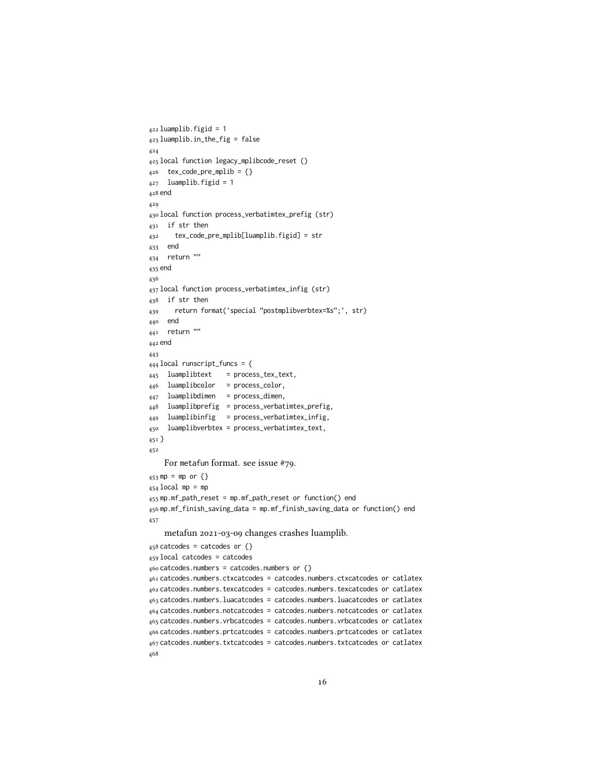```
422 luamplib.figid = 1
423 luamplib.in_the_fig = false
424
425 local function legacy_mplibcode_reset ()
426 tex_code_pre_mplib = {}
427 luamplib.figid = 1
428 end
429
430 local function process_verbatimtex_prefig (str)
431 if str then
432 tex_code_pre_mplib[luamplib.figid] = str
433 end
434 return ""
435 end
436
437 local function process_verbatimtex_infig (str)
438 if str then
439 return format('special "postmplibverbtex=%s";', str)
440 end
441 return ""
442 end
443
444 local runscript_funcs = {
445 luamplibtext = process_tex_text,
446 luamplibcolor = process_color,
447 luamplibdimen = process_dimen,
448 luamplibprefig = process_verbatimtex_prefig,
449 luamplibinfig = process_verbatimtex_infig,
450 luamplibverbtex = process_verbatimtex_text,
451 }
452
    For metafun format. see issue #79.
453 mp = mp or {}
454 local mp = mp
455 mp.mf_path_reset = mp.mf_path_reset or function() end
456 mp.mf_finish_saving_data = mp.mf_finish_saving_data or function() end
457
    metafun 2021-03-09 changes crashes luamplib.
458 catcodes = catcodes or \{\}459 local catcodes = catcodes
460 catcodes.numbers = catcodes.numbers or {}
461 catcodes.numbers.ctxcatcodes = catcodes.numbers.ctxcatcodes or catlatex
462 catcodes.numbers.texcatcodes = catcodes.numbers.texcatcodes or catlatex
463 catcodes.numbers.luacatcodes = catcodes.numbers.luacatcodes or catlatex
464 catcodes.numbers.notcatcodes = catcodes.numbers.notcatcodes or catlatex
465 catcodes.numbers.vrbcatcodes = catcodes.numbers.vrbcatcodes or catlatex
466 catcodes.numbers.prtcatcodes = catcodes.numbers.prtcatcodes or catlatex
467 catcodes.numbers.txtcatcodes = catcodes.numbers.txtcatcodes or catlatex
468
```

```
16
```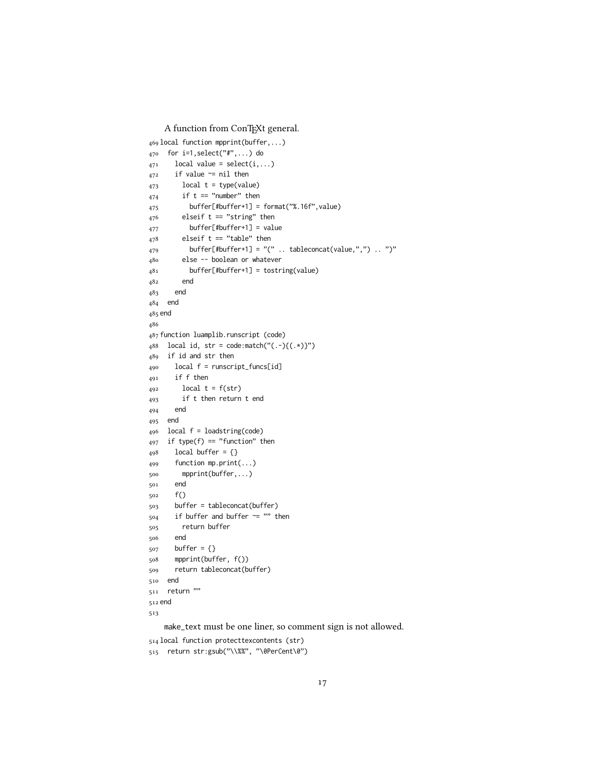A function from ConTEXt general.

```
469 local function mpprint(buffer,...)
470 for i=1,select("#",...) do
_{471} local value = select(i,...)
472 if value \approx nil then
473 local t = type(value)
474 if t == "number" then
475 buffer[#buffer+1] = format("%.16f",value)
476 elseif t == "string" then
477 buffer[#buffer+1] = value
478 elseif t == "table" then
479 buffer[#buffer+1] = "(" .. tableconcat(value,",") .. ")"
480 else -- boolean or whatever
481 buffer[#buffer+1] = tostring(value)
482 end
483 end
484 end
485 end
486
487 function luamplib.runscript (code)
488 local id, str = code:match("(.-){(.*)}")
489 if id and str then
490 local f = runscript_funcs[id]
491 if f then
_{492} local t = f(str)493 if t then return t end
494 end
495 end
496 local f = loadstring(code)
497 if type(f) == "function" then
498 local buffer = {}
499 function mp.print(...)
500 mpprint(buffer,...)
501 end
502 f()
503 buffer = tableconcat(buffer)
504 if buffer and buffer \sim= "" then
505 return buffer
506 end
507 buffer = {}
508 mpprint(buffer, f())
509 return tableconcat(buffer)
510 end
511 return ""
512 end
513
    make_text must be one liner, so comment sign is not allowed.
```
local function protecttexcontents (str)

```
515 return str:gsub("\\%%", "\0PerCent\0")
```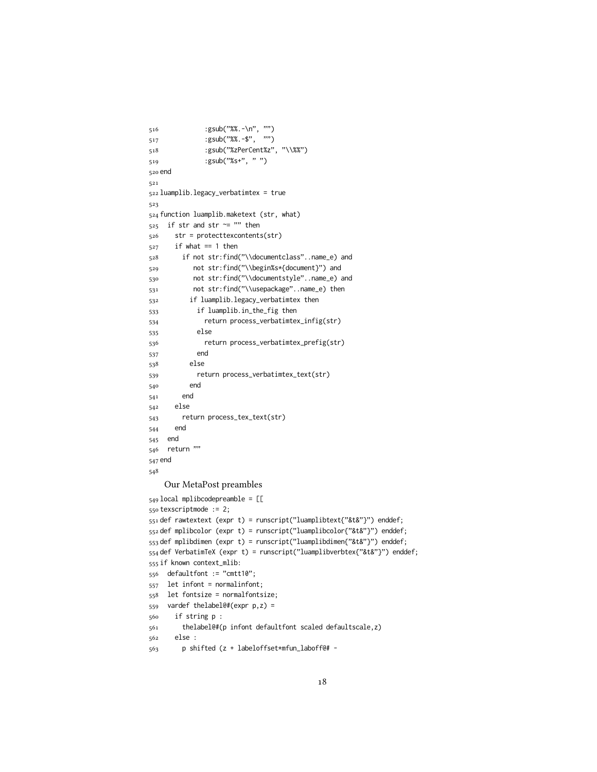```
516 :gsub("%%.-\n", "")
517 :gsub("%%.-$", "")
518 :gsub("%zPerCent%z", "\\%%")
519 :gsub("%s+", " ")
520 end
521
522 luamplib.legacy_verbatimtex = true
523
524 function luamplib.maketext (str, what)
525 if str and str ~= "" then
526 str = protecttexcontents(str)
527 if what == 1 then
528 if not str:find("\\documentclass"..name_e) and
529 not str:find("\\begin%s*{document}") and
530 not str:find("\\documentstyle"..name_e) and
531 not str:find("\\usepackage"..name_e) then
532 if luamplib.legacy_verbatimtex then
533 if luamplib.in_the_fig then
534 return process_verbatimtex_infig(str)
535 else
536 return process_verbatimtex_prefig(str)
537 end
538 else
539 return process_verbatimtex_text(str)
540 end
541 end
542 else
543 return process_tex_text(str)
544 end
545 end
546 return ""
547 end
548
   Our MetaPost preambles
549 local mplibcodepreamble = [[
550 texscriptmode := 2;
551 def rawtextext (expr t) = runscript("luamplibtext{"&t&"}") enddef;
552 def mplibcolor (expr t) = runscript("luamplibcolor{"&t&"}") enddef;
553 def mplibdimen (expr t) = runscript("luamplibdimen{"&t&"}") enddef;
554 def VerbatimTeX (expr t) = runscript("luamplibverbtex{"&t&"}") enddef;
555 if known context_mlib:
556 defaultfont := "cmtt10";
557 let infont = normalinfont;
558 let fontsize = normalfontsize;
559 vardef thelabel@#(expr p,z) =
560 if string p :
561 thelabel@#(p infont defaultfont scaled defaultscale,z)
562 else :
563 p shifted (z + labeloffset*mfun_laboff@# -
```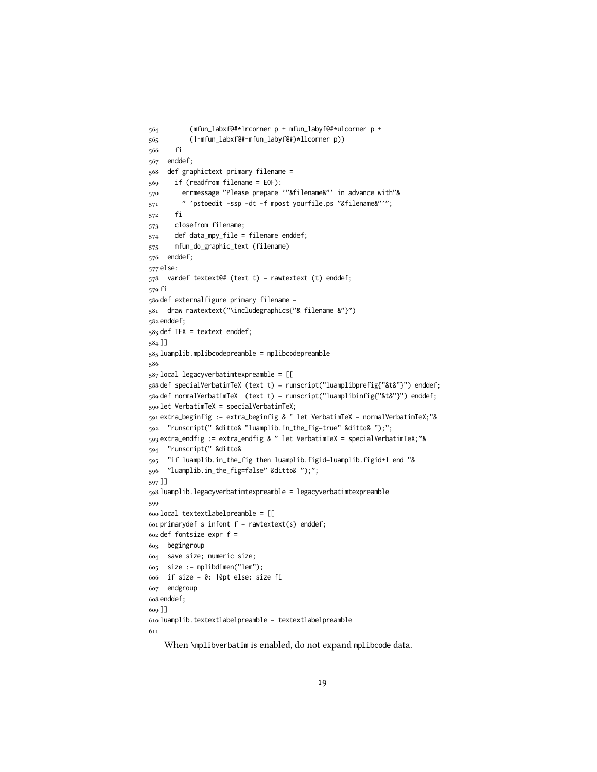```
564 (mfun_labxf@#*lrcorner p + mfun_labyf@#*ulcorner p +
565 (1-mfun_labxf@#-mfun_labyf@#)*llcorner p))
566 fi
567 enddef;
568 def graphictext primary filename =
569 if (readfrom filename = EOF):
570 errmessage "Please prepare '"&filename&"' in advance with"&
571 " 'pstoedit -ssp -dt -f mpost yourfile.ps "&filename&"'";
572 fi
573 closefrom filename;
574 def data_mpy_file = filename enddef;
575 mfun_do_graphic_text (filename)
576 enddef;
577 else:
578 vardef textext@# (text t) = rawtextext (t) enddef;
579 fi
580 def externalfigure primary filename =
581 draw rawtextext("\includegraphics{"& filename &"}")
582 enddef;
583 def TEX = textext enddef;
584 ]]
585 luamplib.mplibcodepreamble = mplibcodepreamble
586
587 local legacyverbatimtexpreamble = [[
588 def specialVerbatimTeX (text t) = runscript("luamplibprefig{"&t&"}") enddef;
589 def normalVerbatimTeX (text t) = runscript("luamplibinfig{"&t&"}") enddef;
590 let VerbatimTeX = specialVerbatimTeX;
591 extra_beginfig := extra_beginfig & " let VerbatimTeX = normalVerbatimTeX;"&
592 "runscript(" &ditto& "luamplib.in_the_fig=true" &ditto& ");";
593 extra_endfig := extra_endfig & " let VerbatimTeX = specialVerbatimTeX;"&
594 "runscript(" &ditto&
595 "if luamplib.in_the_fig then luamplib.figid=luamplib.figid+1 end "&
596 "luamplib.in_the_fig=false" &ditto& ");";
597 ]]
598 luamplib.legacyverbatimtexpreamble = legacyverbatimtexpreamble
599
600 local textextlabelpreamble = [[
601 primarydef s infont f = rawtextext(s) enddef;
602 def fontsize expr f =603 begingroup
604 save size; numeric size;
605 size := mplibdimen("1em");
606 if size = 0: 10pt else: size fi
607 endgroup
608 enddef;
609 ]]
610 luamplib.textextlabelpreamble = textextlabelpreamble
611
```
When \mplibverbatim is enabled, do not expand mplibcode data.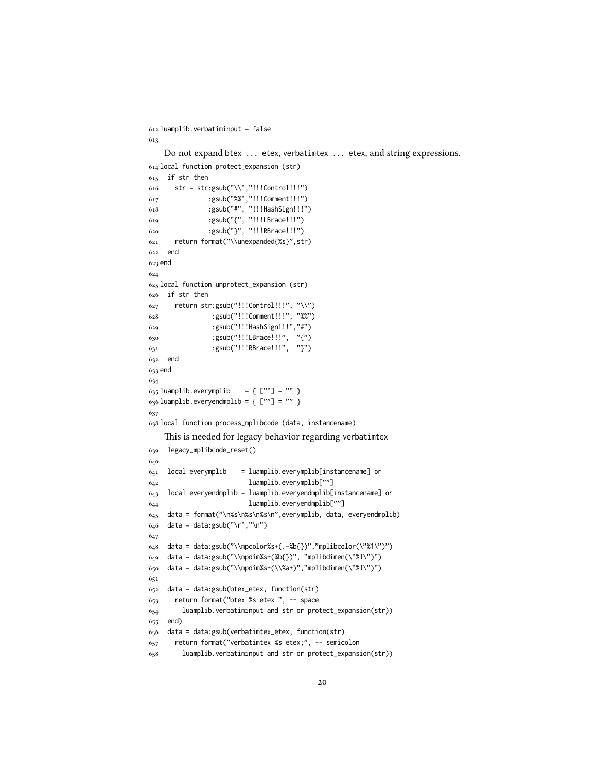```
612 luamplib.verbatiminput = false
613
   Do not expand btex ... etex, verbatimtex ... etex, and string expressions.
614 local function protect_expansion (str)
615 if str then
616 str = str:gsub("\\","!!!Control!!!")
617 :gsub("%%","!!!Comment!!!")
618 :gsub("#", "!!!HashSign!!!")
619 :gsub("{", "!!!LBrace!!!")
620 :gsub("}", "!!!RBrace!!!")
621 return format("\\unexpanded{%s}",str)
622 end
623 end
624
625 local function unprotect_expansion (str)
626 if str then
627 return str:gsub("!!!Control!!!", "\\")
628 :gsub("!!!Comment!!!", "%%")
629 :gsub("!!!HashSign!!!","#")
630 :gsub("!!!LBrace!!!", "{")
631 :gsub("!!!RBrace!!!", "}")
632 end
633 end
634
635 luamplib.everymplib = { [""] = "" }
636 luamplib.everyendmplib = \{ [""] = "" \}637
638 local function process_mplibcode (data, instancename)
   This is needed for legacy behavior regarding verbatimtex
639 legacy_mplibcode_reset()
640
641 local everymplib = luamplib.everymplib[instancename] or
642 luamplib.everymplib[""]
643 local everyendmplib = luamplib.everyendmplib[instancename] or
644 luamplib.everyendmplib[""]
645 data = format("\n%s\n%s\n%s\n",everymplib, data, everyendmplib)
646 data = data:gsub("\r","\n")
647
648 data = data:gsub("\\mpcolor%s+(.-%b{})","mplibcolor(\"%1\")")
649 data = data:gsub("\\mpdim%s+(%b{})", "mplibdimen(\"%1\")")
650 data = data:gsub("\\mpdim%s+(\\%a+)","mplibdimen(\"%1\")")
651
652 data = data:gsub(btex_etex, function(str)
653 return format("btex %s etex ", -- space
654 luamplib.verbatiminput and str or protect_expansion(str))
655 end)
656 data = data:gsub(verbatimtex_etex, function(str)
657 return format("verbatimtex %s etex;", -- semicolon
658 luamplib.verbatiminput and str or protect_expansion(str))
```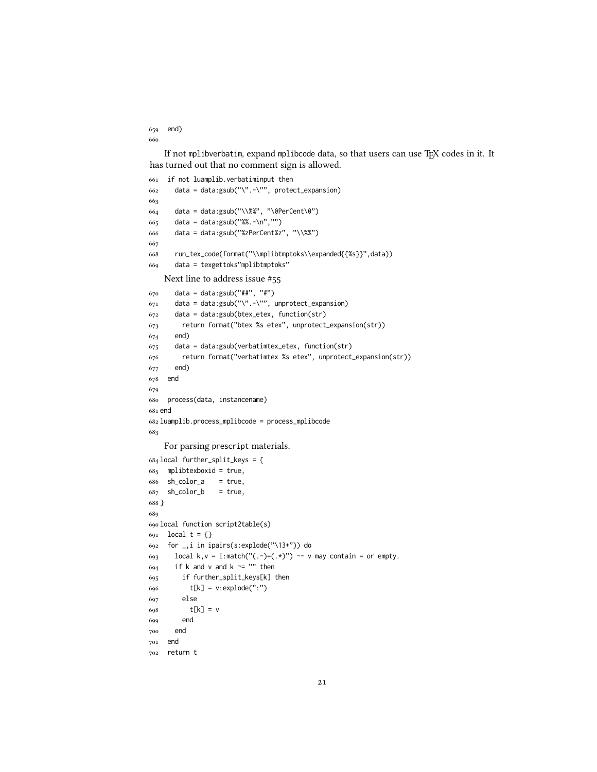```
659 end)
660
```
If not mplibverbatim, expand mplibcode data, so that users can use TFX codes in it. It has turned out that no comment sign is allowed.

```
661 if not luamplib.verbatiminput then
662 data = data:gsub("\".-\"", protect_expansion)
663
664 data = data:gsub("\\%%", "\0PerCent\0")
665 data = data:gsub("%%.-\n","")
666 data = data:gsub("%zPerCent%z", "\\%%")
667
668 run_tex_code(format("\\mplibtmptoks\\expanded{{%s}}",data))
669 data = texgettoks"mplibtmptoks"
   Next line to address issue #55
670 data = data:gsub("##", "#")
671 data = data:gsub("\".-\"", unprotect_expansion)
672 data = data:gsub(btex_etex, function(str)
673 return format("btex %s etex", unprotect_expansion(str))
674 end)
675 data = data:gsub(verbatimtex_etex, function(str)
676 return format("verbatimtex %s etex", unprotect_expansion(str))
677 end)
678 end
679
680 process(data, instancename)
681 end
682 luamplib.process_mplibcode = process_mplibcode
683
   For parsing prescript materials.
684 local further_split_keys = {
685 mplibtexboxid = true,
686 sh_color_a = true,
687 sh_color_b = true,
688 }
689
690 local function script2table(s)
691 local t = \{\}692 for _,i in ipairs(s:explode("\13+")) do
693 local k, v = i: match("(.-)=(.*)") -- v may contain = or empty.
694 if k and v and k ~= "" then
695 if further_split_keys[k] then
696 t[k] = v:explode(":")
697 else
698 t[k] = v
699 end
700 end
701 end
702 return t
```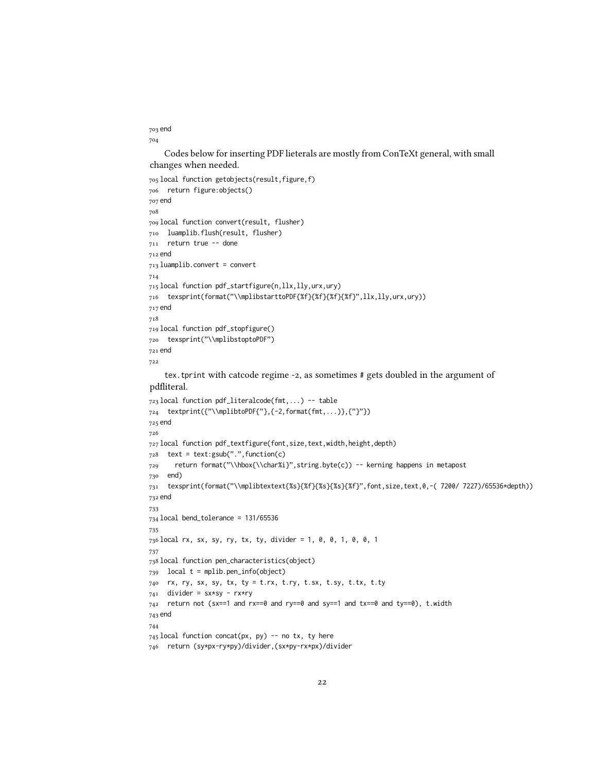```
703 end
704
```
Codes below for inserting PDF lieterals are mostly from ConTeXt general, with small changes when needed.

```
705 local function getobjects(result,figure,f)
706 return figure:objects()
707 end
708
709 local function convert(result, flusher)
710 luamplib.flush(result, flusher)
711 return true -- done
712 end
713 luamplib.convert = convert
714
715 local function pdf_startfigure(n,llx,lly,urx,ury)
716 texsprint(format("\\mplibstarttoPDF{%f}{%f}{%f}{%f}",llx,lly,urx,ury))
717 end
718
719 local function pdf_stopfigure()
720 texsprint("\\mplibstoptoPDF")
721 end
722
```
tex.tprint with catcode regime -2, as sometimes # gets doubled in the argument of pdfliteral.

```
723 local function pdf_literalcode(fmt,...) -- table
724 textprint({"\\mplibtoPDF{"},{-2,format(fmt,...)},{"}"})
725 end
726
727 local function pdf_textfigure(font,size,text,width,height,depth)
728 text = text:gsub(".",function(c)
729 return format("\\hbox{\\char%i}",string.byte(c)) -- kerning happens in metapost
730 end)
731 texsprint(format("\\mplibtextext{%s}{%f}{%s}{%s}{%f}",font,size,text,0,-( 7200/ 7227)/65536*depth))
732 end
733
734 local bend_tolerance = 131/65536
735
736 local rx, sx, sy, ry, tx, ty, divider = 1, 0, 0, 1, 0, 0, 1
737
738 local function pen_characteristics(object)
739 local t = mplib.pen_info(object)
740 rx, ry, sx, sy, tx, ty = t.rx, t.ry, t.sx, t.sy, t.tx, t.ty
741 divider = sx*sy - rx*ry
742 return not (sx==1 and rx==0 and ry==0 and sy==1 and tx==0 and ty==0), t.width
743 end
744
745 local function concat(px, py) -- no tx, ty here
746 return (sy*px-ry*py)/divider,(sx*py-rx*px)/divider
```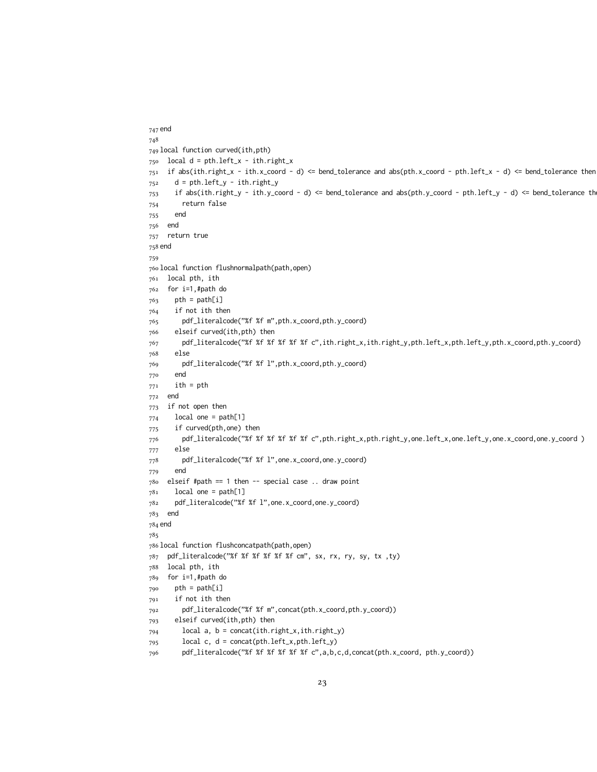```
747 end
748
749 local function curved(ith,pth)
750 local d = pth.left_x - ith.right_x
751 if abs(ith.right_x - ith.x_coord - d) <= bend_tolerance and abs(pth.x_coord - pth.left_x - d) <= bend_tolerance then
752 d = pth.left_y - ith.right_y
753 if abs(ith.right_y - ith.y_coord - d) <= bend_tolerance and abs(pth.y_coord - pth.left_y - d) <= bend_tolerance th
754 return false
755 end
756 end
757 return true
758 end
759
760 local function flushnormalpath(path,open)
761 local pth, ith
762 for i=1,#path do
763 pth = path[i]
764 if not ith then
765 pdf_literalcode("%f %f m",pth.x_coord,pth.y_coord)
766 elseif curved(ith,pth) then
767 pdf_literalcode("%f %f %f %f %f %f c",ith.right_x,ith.right_y,pth.left_x,pth.left_y,pth.x_coord,pth.y_coord)
768 else
769 pdf_literalcode("%f %f l",pth.x_coord,pth.y_coord)
770 end
771 ith = pth
772 end
773 if not open then
774 local one = path[1]
775 if curved(pth,one) then
776 pdf_literalcode("%f %f %f %f %f %f c",pth.right_x,pth.right_y,one.left_x,one.left_y,one.x_coord,one.y_coord )
777 else
778 pdf_literalcode("%f %f l",one.x_coord,one.y_coord)
779 end
780 elseif #path == 1 then -- special case .. draw point
781 local one = path[1]
782 pdf_literalcode("%f %f l",one.x_coord,one.y_coord)
783 end
784 end
785
786 local function flushconcatpath(path,open)
787 pdf_literalcode("%f %f %f %f %f %f cm", sx, rx, ry, sy, tx ,ty)
788 local pth, ith
789 for i=1,#path do
790 pth = path[i]
791 if not ith then
792 pdf_literalcode("%f %f m",concat(pth.x_coord,pth.y_coord))
793 elseif curved(ith,pth) then
794 local a, b = concat(ith.right_x,ith.right_y)
795 local c, d = concat(pth.left_x,pth.left_y)
796 pdf_literalcode("%f %f %f %f %f %f c",a,b,c,d,concat(pth.x_coord, pth.y_coord))
```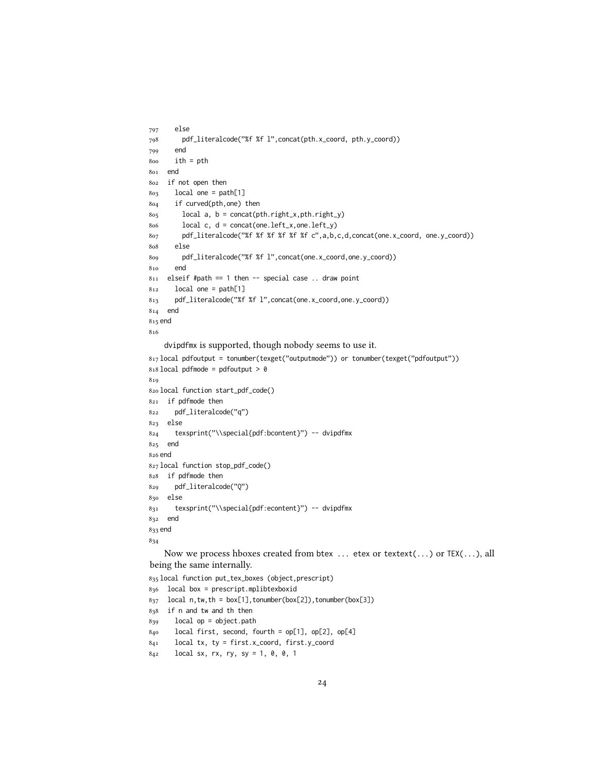```
797 else
798 pdf_literalcode("%f %f l",concat(pth.x_coord, pth.y_coord))
799 end
800 ith = pth
801 end
802 if not open then
803 local one = path[1]
804 if curved(pth,one) then
805 local a, b = concat(pth.right_x,pth.right_y)
806 local c, d = concat(one.left_x,one.left_y)
807 pdf_literalcode("%f %f %f %f %f %f c",a,b,c,d,concat(one.x_coord, one.y_coord))
808 else
809 pdf_literalcode("%f %f l",concat(one.x_coord,one.y_coord))
810 end
811 elseif #path == 1 then -- special case .. draw point
812 local one = path[1]
813 pdf_literalcode("%f %f l",concat(one.x_coord,one.y_coord))
814 end
815 end
816
    dvipdfmx is supported, though nobody seems to use it.
817 local pdfoutput = tonumber(texget("outputmode")) or tonumber(texget("pdfoutput"))
818 local pdfmode = pdfoutput > 0819
820 local function start_pdf_code()
821 if pdfmode then
822 pdf_literalcode("q")
823 else
824 texsprint("\\special{pdf:bcontent}") -- dvipdfmx
825 end
826 end
827 local function stop_pdf_code()
828 if pdfmode then
829 pdf_literalcode("Q")
830 else
831 texsprint("\\special{pdf:econtent}") -- dvipdfmx
832 end
833 end
834
   Now we process hboxes created from btex ... etex or textext(...) or TEX(...), all
being the same internally.
835 local function put_tex_boxes (object,prescript)
836 local box = prescript.mplibtexboxid
837 local n,tw,th = box[1],tonumber(box[2]),tonumber(box[3])
838 if n and tw and th then
839 local op = object.path
```

```
840 local first, second, fourth = op[1], op[2], op[4]
```

```
841 local tx, ty = first.x_coord, first.y_coord
```

```
842 local sx, rx, ry, sy = 1, 0, 0, 1
```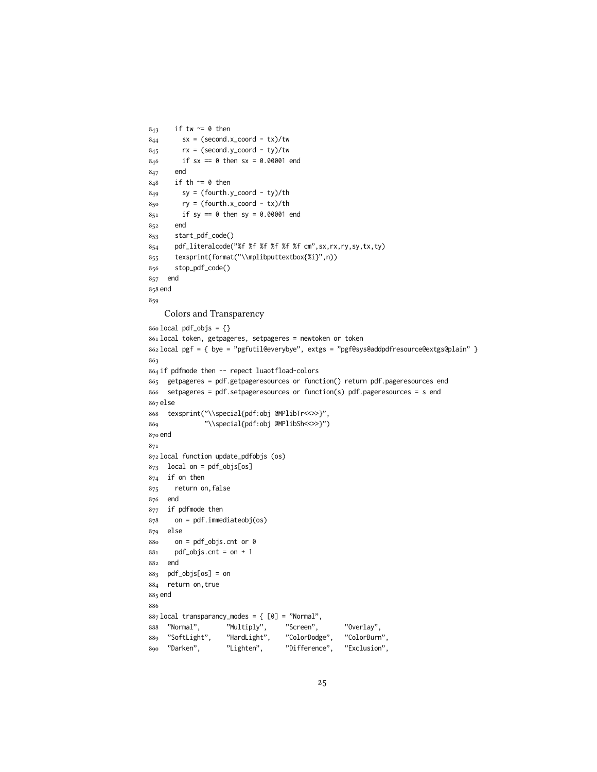```
843 if tw \approx 0 then
844 sx = (second.x_coord - tx)/tw
845 rx = (second.y_coord - ty)/tw
846 if sx == 0 then sx = 0.00001 end
847 end
848 if th \approx 0 then
849 sy = (fourth.y_coord - ty)/th
850 ry = (fourth.x_coord - tx)/th
851 if sy == 0 then sy = 0.00001 end
852 end
853 start_pdf_code()
854 pdf_literalcode("%f %f %f %f %f %f cm",sx,rx,ry,sy,tx,ty)
855 texsprint(format("\\mplibputtextbox{%i}",n))
856 stop_pdf_code()
857 end
858 end
859
    Colors and Transparency
860 local pdf_objs = {}
861 local token, getpageres, setpageres = newtoken or token
862 local pgf = { bye = "pgfutil@everybye", extgs = "pgf@sys@addpdfresource@extgs@plain" }
863
864 if pdfmode then -- repect luaotfload-colors
865 getpageres = pdf.getpageresources or function() return pdf.pageresources end
866 setpageres = pdf.setpageresources or function(s) pdf.pageresources = s end
867 else
868 texsprint("\\special{pdf:obj @MPlibTr<<>>}",
869 "\\special{pdf:obj @MPlibSh<<>>}")
870 end
871
872 local function update_pdfobjs (os)
873 local on = pdf_objs[os]
874 if on then
875 return on,false
876 end
877 if pdfmode then
878 on = pdf.immediateobj(os)
879 else
880 on = pdf_objs.cnt or 0
881 pdf_objs.cnt = on + 1
882 end
883 pdf_objs[os] = on
884 return on,true
885 end
886
887 local transparancy_modes = { [0] = "Normal",
888 "Normal", "Multiply", "Screen", "Overlay",
889 "SoftLight", "HardLight", "ColorDodge", "ColorBurn",
890 "Darken", "Lighten", "Difference", "Exclusion",
```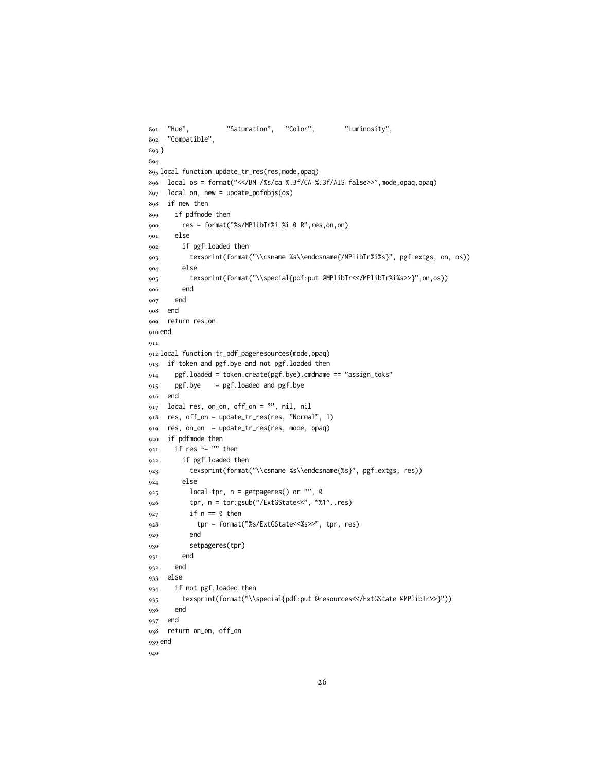```
891 "Hue", "Saturation", "Color", "Luminosity",
892 "Compatible",
893 }
894
895 local function update_tr_res(res,mode,opaq)
896 local os = format("<</BM /%s/ca %.3f/CA %.3f/AIS false>>",mode,opaq,opaq)
897 local on, new = update_pdfobjs(os)
898 if new then
899 if pdfmode then
900 res = format("%s/MPlibTr%i %i 0 R",res,on,on)
901 else
902 if pgf.loaded then
903 texsprint(format("\\csname %s\\endcsname{/MPlibTr%i%s}", pgf.extgs, on, os))
904 else
905 texsprint(format("\\special{pdf:put @MPlibTr<</MPlibTr%i%s>>}",on,os))
906 end
907 end
908 end
909 return res,on
910 end
911
912 local function tr_pdf_pageresources(mode,opaq)
913 if token and pgf.bye and not pgf.loaded then
914 pgf.loaded = token.create(pgf.bye).cmdname == "assign_toks"
915 pgf.bye = pgf.loaded and pgf.bye
916 end
917 local res, on_on, off_on = "", nil, nil
918 res, off_on = update_tr_res(res, "Normal", 1)
919 res, on_on = update_tr_res(res, mode, opaq)
920 if pdfmode then
921 if res ~= "" then
922 if pgf.loaded then
923 texsprint(format("\\csname %s\\endcsname{%s}", pgf.extgs, res))
924 else
925 local tpr, n = getpages() or "", \theta926 tpr, n = tpr:gsub("/ExtGState<<", "%1"..res)
927 if n == 0 then
928 tpr = format("%s/ExtGState<<%s>>", tpr, res)
929 end
930 setpageres(tpr)
931 end
932 end
933 else
934 if not pgf.loaded then
935 texsprint(format("\\special{pdf:put @resources<</ExtGState @MPlibTr>>}"))
936 end
937 end
938 return on_on, off_on
939 end
940
```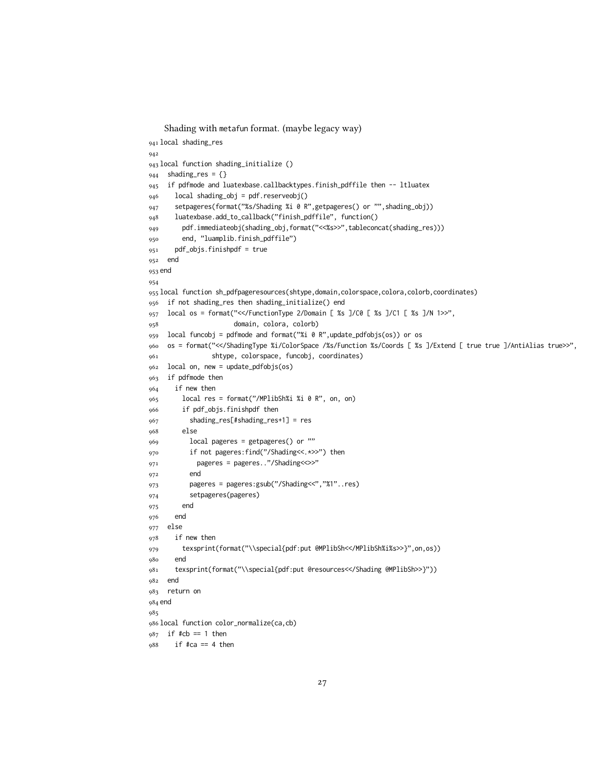```
Shading with metafun format. (maybe legacy way)
941 local shading_res
942
943 local function shading_initialize ()
944 shading_res = {}
945 if pdfmode and luatexbase.callbacktypes.finish_pdffile then -- ltluatex
946 local shading_obj = pdf.reserveobj()
947 setpageres(format("%s/Shading %i 0 R",getpageres() or "",shading_obj))
948 luatexbase.add_to_callback("finish_pdffile", function()
949 pdf.immediateobj(shading_obj,format("<<%s>>",tableconcat(shading_res)))
950 end, "luamplib.finish_pdffile")
951 pdf_objs.finishpdf = true
952 end
953 end
954
955 local function sh_pdfpageresources(shtype,domain,colorspace,colora,colorb,coordinates)
956 if not shading_res then shading_initialize() end
957 local os = format("<</FunctionType 2/Domain [ %s ]/C0 [ %s ]/C1 [ %s ]/N 1>>",
958 domain, colora, colorb)
959 local funcobj = pdfmode and format("%i 0 R",update_pdfobjs(os)) or os
960 os = format("<</ShadingType %i/ColorSpace /%s/Function %s/Coords [ %s ]/Extend [ true true ]/AntiAlias true>>",
961 shtype, colorspace, funcobj, coordinates)
962 local on, new = update_pdfobjs(os)
963 if pdfmode then
964 if new then
965 local res = format("/MPlibSh%i %i 0 R", on, on)
966 if pdf_objs.finishpdf then
967 shading_res[#shading_res+1] = res
968 else
969 local pageres = getpageres() or ""
970 if not pageres:find("/Shading<<.*>>") then
971 pageres = pageres.."/Shading<<>>"
972 end
973 pageres = pageres:gsub("/Shading<<","%1"..res)
974 setpageres(pageres)
975 end
976 end
977 else
978 if new then
979 texsprint(format("\\special{pdf:put @MPlibSh<</MPlibSh%i%s>>}",on,os))
980 end
981 texsprint(format("\\special{pdf:put @resources<</Shading @MPlibSh>>}"))
982 end
983 return on
984 end
985
986 local function color_normalize(ca,cb)
987 if #cb == 1 then
988 if #ca == 4 then
```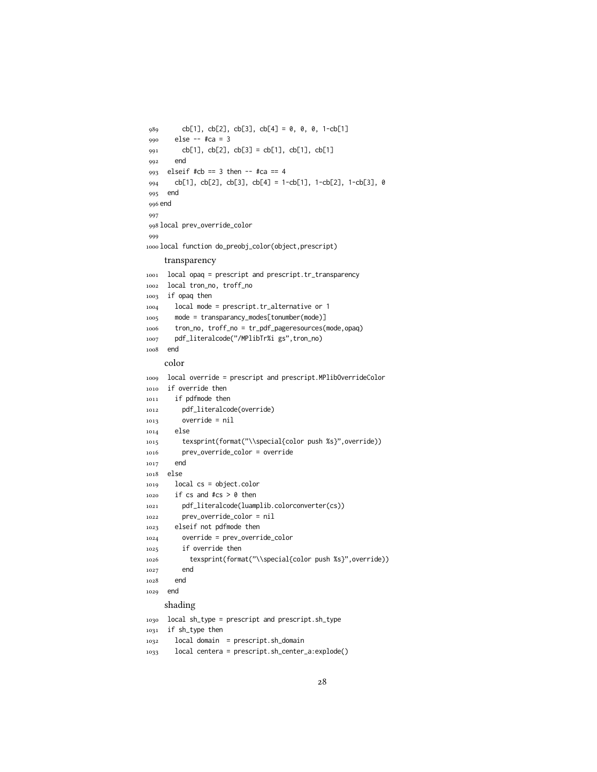```
989 cb[1], cb[2], cb[3], cb[4] = 0, 0, 0, 1-cb[1]
990 else - #ca = 3
991 cb[1], cb[2], cb[3] = cb[1], cb[1], cb[1]
992 end
993 elseif #cb == 3 then -- #ca == 4
994 cb[1], cb[2], cb[3], cb[4] = 1-cb[1], 1-cb[2], 1-cb[3], 0
995 end
996 end
997
998 local prev_override_color
999
1000 local function do_preobj_color(object,prescript)
    transparency
1001 local opaq = prescript and prescript.tr_transparency
1002 local tron_no, troff_no
1003 if opaq then
1004 local mode = prescript.tr_alternative or 1
1005 mode = transparancy_modes[tonumber(mode)]
1006 tron_no, troff_no = tr_pdf_pageresources(mode,opaq)
1007 pdf_literalcode("/MPlibTr%i gs",tron_no)
1008 end
    color
1009 local override = prescript and prescript.MPlibOverrideColor
1010 if override then
1011 if pdfmode then
1012 pdf_literalcode(override)
1013 override = nil
1014 else
1015 texsprint(format("\\special{color push %s}",override))
1016 prev_override_color = override
1017 end
1018 else
1019 local cs = object.color
1020 if cs and #cs > 0 then
1021 pdf_literalcode(luamplib.colorconverter(cs))
1022 prev_override_color = nil
1023 elseif not pdfmode then
1024 override = prev_override_color
1025 if override then
1026 texsprint(format("\\special{color push %s}",override))
1027 end
1028 end
1029 end
    shading
1030 local sh_type = prescript and prescript.sh_type
1031 if sh_type then
1032 local domain = prescript.sh_domain
```

```
1033 local centera = prescript.sh_center_a:explode()
```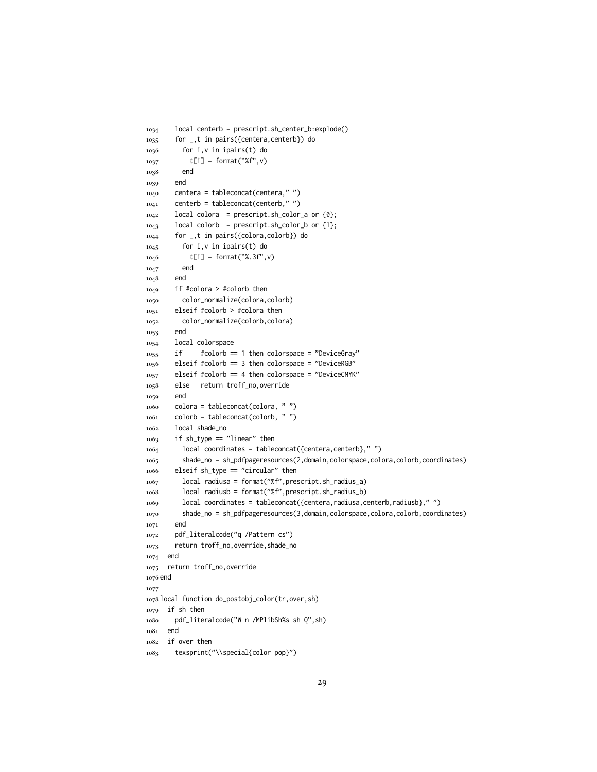```
1034 local centerb = prescript.sh_center_b:explode()
1035 for _,t in pairs({centera,centerb}) do
1036 for i,v in ipairs(t) do
1037 t[i] = format("%f",v)
1038 end
1039 end
1040 centera = tableconcat(centera," ")
_{1041} centerb = tableconcat(centerb,"")
1042 local colora = prescript.sh_color_a or {0};
1043 local colorb = prescript.sh_color_b or {1};
1044 for _,t in pairs({colora,colorb}) do
1045 for i,v in ipairs(t) do
1046 t[i] = format("%.3f",v)
1047 end
1048 end
1049 if #colora > #colorb then
1050 color_normalize(colora,colorb)
1051 elseif #colorb > #colora then
1052 color_normalize(colorb,colora)
1053 end
1054 local colorspace
1055 if #colorb == 1 then colorspace = "DeviceGray"
1056 elseif #colorb == 3 then colorspace = "DeviceRGB"
1057 elseif #colorb == 4 then colorspace = "DeviceCMYK"
1058 else return troff_no,override
1059 end
1060 colora = tableconcat(colora, " ")
_{1061} colorb = tableconcat(colorb, "")
1062 local shade_no
1063 if sh_type == "linear" then
1064 local coordinates = tableconcat({centera,centerb}," ")
1065 shade_no = sh_pdfpageresources(2,domain,colorspace,colora,colorb,coordinates)
1066 elseif sh_type == "circular" then
1067 local radiusa = format("%f",prescript.sh_radius_a)
1068 local radiusb = format("%f",prescript.sh_radius_b)
1069 local coordinates = tableconcat({centera,radiusa,centerb,radiusb},"")
1070 shade_no = sh_pdfpageresources(3,domain,colorspace,colora,colorb,coordinates)
1071 end
1072 pdf_literalcode("q /Pattern cs")
1073 return troff_no,override,shade_no
1074 end
1075 return troff_no,override
1076 end
1077
1078 local function do_postobj_color(tr,over,sh)
1079 if sh then
1080 pdf_literalcode("W n /MPlibSh%s sh Q",sh)
1081 end
1082 if over then
1083 texsprint("\\special{color pop}")
```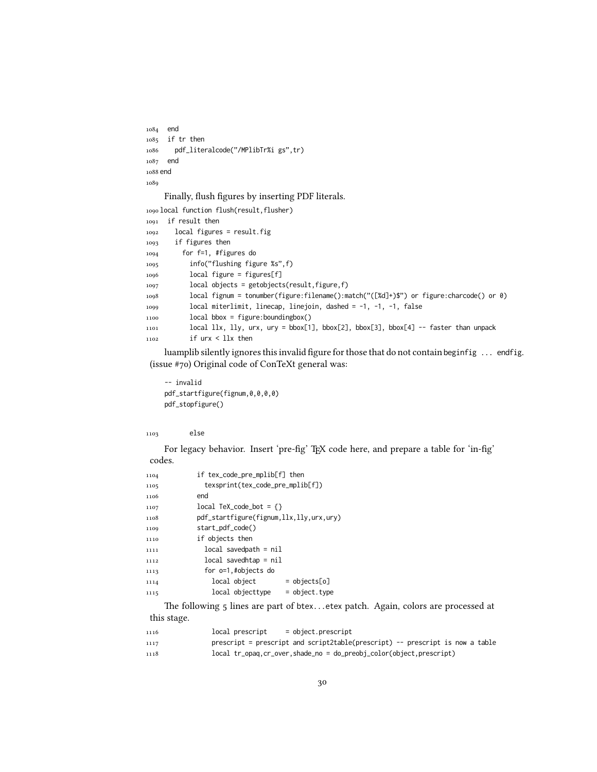```
1084 end
1085 if tr then
1086 pdf_literalcode("/MPlibTr%i gs",tr)
1087 end
1088 end
1089
```
Finally, flush figures by inserting PDF literals.

```
1090 local function flush(result,flusher)
1091 if result then
1092 local figures = result.fig
1093 if figures then
1094 for f=1, #figures do
1095 info("flushing figure %s",f)
1096 local figure = figures[f]
1097 local objects = getobjects(result,figure,f)
1098 local fignum = tonumber(figure:filename():match("([%d]+)$") or figure:charcode() or 0)
1099 local miterlimit, linecap, linejoin, dashed = -1, -1, -1, false
1100 local bbox = figure:boundingbox()
1101 local llx, lly, urx, ury = bbox[1], bbox[2], bbox[3], bbox[4] -- faster than unpack
1102 if urx < llx then
```
luamplib silently ignores this invalid figure for those that do not contain beginfig ... endfig. (issue #70) Original code of ConTeXt general was:

```
-- invalid
pdf_startfigure(fignum,0,0,0,0)
pdf_stopfigure()
```
else

For legacy behavior. Insert 'pre-fig' TEX code here, and prepare a table for 'in-fig' codes.

| 1104 | if tex_code_pre_mplib[f] then           |                |
|------|-----------------------------------------|----------------|
| 1105 | texsprint(tex_code_pre_mplib[f])        |                |
| 1106 | end                                     |                |
| 1107 | $local TeX_code\_bot = \{\}$            |                |
| 1108 | pdf_startfigure(fignum,llx,lly,urx,ury) |                |
| 1109 | start_pdf_code()                        |                |
| 1110 | if objects then                         |                |
| 1111 | $local$ savedpath = $nil$               |                |
| 1112 | $local$ savedhtap = $nil$               |                |
| 1113 | for o=1,#objects do                     |                |
| 1114 | local object                            | $=$ objects[o] |
| 1115 | local objecttype                        | = object.type  |

The following 5 lines are part of btex...etex patch. Again, colors are processed at this stage.

| 1116 | $=$ object.prescript<br>local prescript                                       |
|------|-------------------------------------------------------------------------------|
| 1117 | prescript = prescript and script2table(prescript) -- prescript is now a table |
| 1118 | $local tr0ona, cr0over, shade0 = do0preobj0color(object,prescript)$           |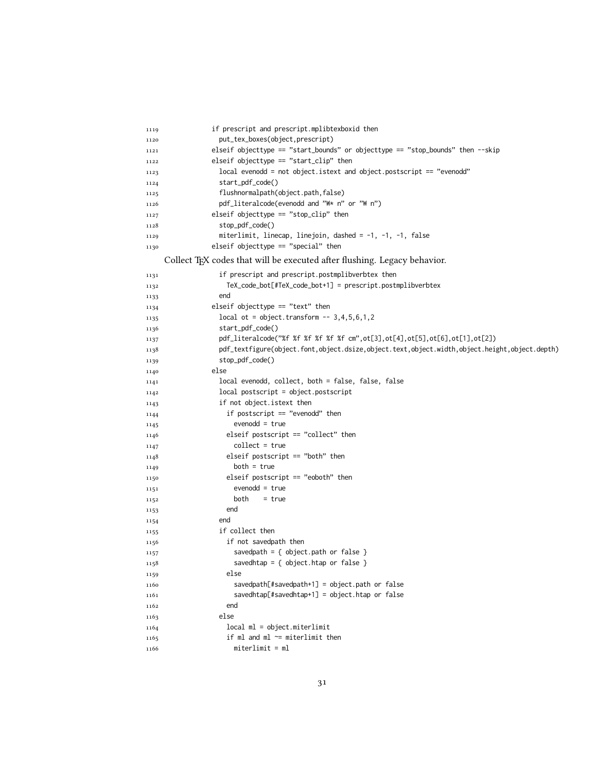| 1119         | if prescript and prescript.mplibtexboxid then                                                |
|--------------|----------------------------------------------------------------------------------------------|
| 1120         | put_tex_boxes(object,prescript)                                                              |
| 1121         | elseif objecttype == "start_bounds" or objecttype == "stop_bounds" then --skip               |
| 1122         | elseif objecttype $==$ "start_clip" then                                                     |
| 1123         | local evenodd = not object.istext and object.postscript == "evenodd"                         |
| 1124         | start_pdf_code()                                                                             |
| 1125         | flushnormalpath(object.path,false)                                                           |
| 1126         | pdf_literalcode(evenodd and "W* n" or "W n")                                                 |
| 1127         | elseif objecttype $==$ "stop_clip" then                                                      |
| 1128         | stop_pdf_code()                                                                              |
| 1129         | miterlimit, linecap, linejoin, dashed = -1, -1, -1, false                                    |
| 1130         | elseif objecttype $==$ "special" then                                                        |
|              | Collect TEX codes that will be executed after flushing. Legacy behavior.                     |
| 1131         | if prescript and prescript.postmplibverbtex then                                             |
| 1132         | TeX_code_bot[#TeX_code_bot+1] = prescript.postmplibverbtex                                   |
| 1133         | end                                                                                          |
| 1134         | elseif objecttype $==$ "text" then                                                           |
| 1135         | $local ot = object.trainform -- 3, 4, 5, 6, 1, 2$                                            |
| 1136         | start_pdf_code()                                                                             |
| 1137         | pdf_literalcode("%f %f %f %f %f %f cm", ot[3], ot[4], ot[5], ot[6], ot[1], ot[2])            |
| 1138         | pdf_textfigure(object.font,object.dsize,object.text,object.width,object.height,object.depth) |
| 1139         | stop_pdf_code()                                                                              |
| 1140         | else                                                                                         |
| 1141         | local evenodd, collect, both = false, false, false                                           |
| 1142         | $local postscript = object postscript$                                                       |
| 1143         | if not object.istext then                                                                    |
| 1144         | if postscript $==$ "evenodd" then                                                            |
| 1145         | $evenodd = true$                                                                             |
| 1146         | elseif postscript $==$ "collect" then                                                        |
| 1147         | $collect = true$                                                                             |
| 1148         | elseif postscript $==$ "both" then                                                           |
| 1149         | $both = true$                                                                                |
| 1150         | elseif postscript $==$ "eoboth" then                                                         |
| 1151         | $evenodd = true$                                                                             |
| 1152         | both<br>$= true$                                                                             |
| 1153         | end<br>end                                                                                   |
| 1154         | if collect then                                                                              |
| 1155         | if not savedpath then                                                                        |
| 1156         | savedpath = { $object.path$ or $false$ }                                                     |
| 1157         | savedhtap = { $object.html$ or $false$ }                                                     |
| 1158<br>1159 | else                                                                                         |
| 1160         | $savedpath[$ #savedpath+1] = object.path or false                                            |
| 1161         | $savedhtap[$ #savedhtap+1] = object.htap or false                                            |
| 1162         | end                                                                                          |
| 1163         | else                                                                                         |
| 1164         | local ml = object.miterlimit                                                                 |
| 1165         | if ml and ml $\sim$ = miterlimit then                                                        |
| 1166         | $miterlimit = ml$                                                                            |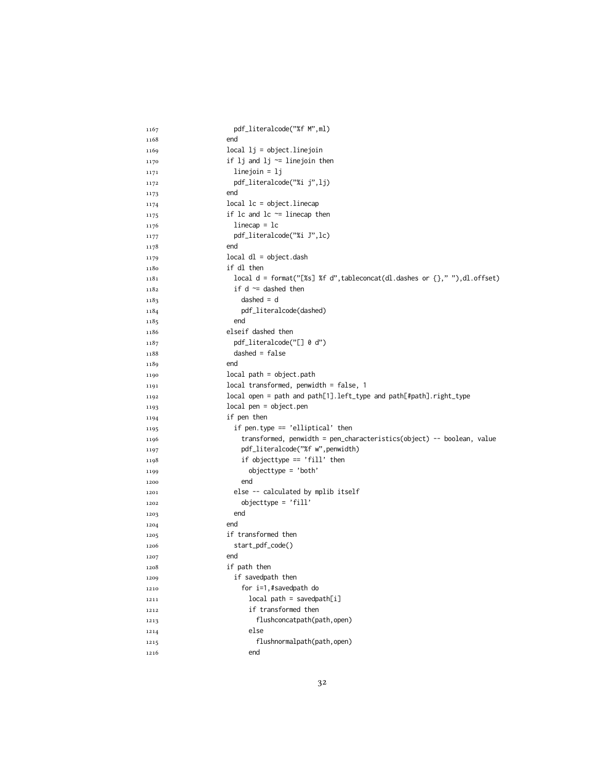| 1167 | pdf_literalcode("%f M",ml)                                                 |
|------|----------------------------------------------------------------------------|
| 1168 | end                                                                        |
| 1169 | $local$ $1j = objectu$                                                     |
| 1170 | if $1j$ and $1j \sim 1$ inejoin then                                       |
| 1171 | $linejoin = 1j$                                                            |
| 1172 | pdf_literalcode("%i j",lj)                                                 |
| 1173 | end                                                                        |
| 1174 | $local$ $lc$ = $object$ . $linecap$                                        |
| 1175 | if $lc$ and $lc$ $\sim$ = linecap then                                     |
| 1176 | $linecap = lc$                                                             |
| 1177 | pdf_literalcode("%i J",lc)                                                 |
| 1178 | end                                                                        |
| 1179 | $local$ dl = object.dash                                                   |
| 1180 | if dl then                                                                 |
| 1181 | local d = format("[%s] %f d", tableconcat(dl.dashes or {}," "), dl.offset) |
| 1182 | if $d \approx d$ dashed then                                               |
| 1183 | $dashed = d$                                                               |
| 1184 | pdf_literalcode(dashed)                                                    |
| 1185 | end                                                                        |
| 1186 | elseif dashed then                                                         |
| 1187 | pdf_literalcode("[] 0 d")                                                  |
| 1188 | $dashed = false$                                                           |
| 1189 | end                                                                        |
| 1190 | $local path = object.path$                                                 |
| 1191 | $local$ transformed, penwidth = false, 1                                   |
| 1192 | local open = path and path[1].left_type and path[#path].right_type         |
| 1193 | $local pen = object.pen$                                                   |
| 1194 | if pen then                                                                |
| 1195 | if pen.type == 'elliptical' then                                           |
| 1196 | transformed, penwidth = pen_characteristics(object) -- boolean, value      |
| 1197 | pdf_literalcode("%f w", penwidth)                                          |
| 1198 | if objecttype $==$ 'fill' then                                             |
| 1199 | $objecttype = 'both'$                                                      |
| 1200 | end                                                                        |
| 1201 | else -- calculated by mplib itself                                         |
| 1202 | $objecttype = 'fill'$                                                      |
| 1203 | end                                                                        |
| 1204 | end                                                                        |
| 1205 | if transformed then                                                        |
| 1206 | start_pdf_code()                                                           |
| 1207 | end                                                                        |
| 1208 | if path then                                                               |
| 1209 | if savedpath then                                                          |
| 1210 | for i=1,#savedpath do                                                      |
| 1211 | $local path = savedpath[i]$                                                |
| 1212 | if transformed then                                                        |
| 1213 | flushconcatpath(path,open)                                                 |
| 1214 | else                                                                       |
| 1215 | flushnormalpath(path,open)                                                 |
| 1216 | end                                                                        |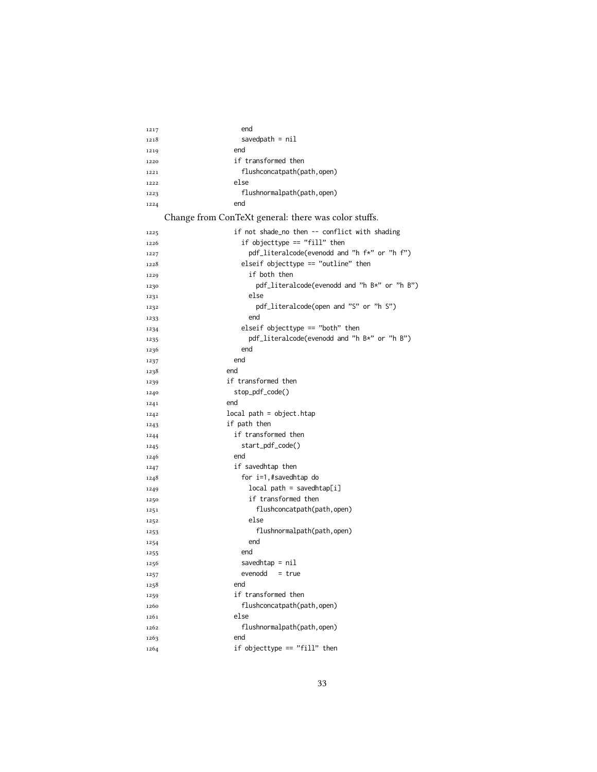| 1217 | end                                                  |
|------|------------------------------------------------------|
| 1218 | savedpath = $nil$                                    |
| 1219 | end                                                  |
| 1220 | if transformed then                                  |
| 1221 | flushconcatpath(path,open)                           |
| 1222 | else                                                 |
| 1223 | flushnormalpath(path,open)                           |
| 1224 | end                                                  |
|      | Change from ConTeXt general: there was color stuffs. |
| 1225 | if not shade_no then -- conflict with shading        |
| 1226 | if objecttype == "fill" then                         |
| 1227 | pdf_literalcode(evenodd and "h f*" or "h f")         |
| 1228 | elseif objecttype $==$ "outline" then                |
| 1229 | if both then                                         |
| 1230 | pdf_literalcode(evenodd and "h B*" or "h B")         |
| 1231 | else                                                 |
| 1232 | pdf_literalcode(open and "S" or "h S")               |
| 1233 | end                                                  |
| 1234 | elseif objecttype $==$ "both" then                   |
| 1235 | pdf_literalcode(evenodd and "h B*" or "h B")         |
| 1236 | end                                                  |
| 1237 | end                                                  |
| 1238 | end                                                  |
| 1239 | if transformed then                                  |
| 1240 | stop_pdf_code()                                      |
| 1241 | end                                                  |
| 1242 | $local path = object.htap$                           |
| 1243 | if path then                                         |
| 1244 | if transformed then                                  |
| 1245 | start_pdf_code()                                     |
| 1246 | end                                                  |
| 1247 | if savedhtap then                                    |
| 1248 | for i=1,#savedhtap do                                |
| 1249 | $local path = savedhtap[i]$                          |
| 1250 | if transformed then                                  |
| 1251 | flushconcatpath(path,open)                           |
| 1252 | else                                                 |
| 1253 | flushnormalpath(path,open)                           |
| 1254 | end                                                  |
| 1255 | end                                                  |
| 1256 | savedhtap = $nil$                                    |
| 1257 | evenodd<br>$= true$                                  |
| 1258 | end                                                  |
| 1259 | if transformed then                                  |
| 1260 | flushconcatpath(path,open)                           |
| 1261 | else                                                 |
| 1262 | flushnormalpath(path,open)                           |
| 1263 | end                                                  |
| 1264 | if objecttype == "fill" then                         |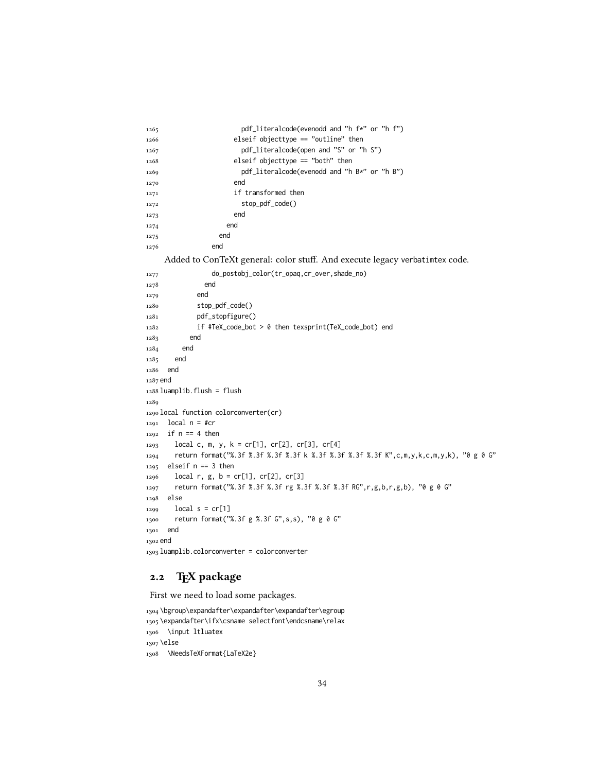| 1265 | pdf_literalcode(evenodd and "h f*" or "h f")          |
|------|-------------------------------------------------------|
| 1266 | elseif objecttype $==$ "outline" then                 |
| 1267 | pdf_literalcode(open and "S" or "h S")                |
| 1268 | elseif objecttype $==$ "both" then                    |
| 1269 | $pdf$ -literalcode(evenodd and "h $B*$ " or "h $B"$ ) |
| 1270 | end                                                   |
| 1271 | if transformed then                                   |
| 1272 | stop_pdf_code()                                       |
| 1273 | end                                                   |
| 1274 | end                                                   |
| 1275 | end                                                   |
| 1276 | end                                                   |

Added to ConTeXt general: color stuff. And execute legacy verbatimtex code.

```
1277 do_postobj_color(tr_opaq,cr_over,shade_no)
1278 end
1279 end
1280 stop_pdf_code()
1281 pdf_stopfigure()
1282 if #TeX_code_bot > 0 then texsprint(TeX_code_bot) end
1283 end
1284 end
1285 end
1286 end
1287 end
1288 luamplib.flush = flush
1289
1290 local function colorconverter(cr)
1291 local n = #cr
1292 if n == 4 then
1293 local c, m, y, k = cr[1], cr[2], cr[3], cr[4]
1294 return format("%.3f %.3f %.3f %.3f k %.3f %.3f %.3f %.3f K",c,m,y,k,c,m,y,k), "0 g 0 G"
1295 elseif n == 3 then
1296 local r, g, b = cr[1], cr[2], cr[3]1297 return format("%.3f %.3f %.3f rg %.3f %.3f %.3f RG",r,g,b,r,g,b), "0 g 0 G"
1298 else
1299 local s = cr[1]
1300 return format("%.3f g %.3f G",s,s), "0 g 0 G"
1301 end
1302 end
1303 luamplib.colorconverter = colorconverter
```
## 2.2 TEX package

First we need to load some packages.

```
1304 \bgroup\expandafter\expandafter\expandafter\egroup
1305 \expandafter\ifx\csname selectfont\endcsname\relax
1306 \input ltluatex
1307 \else
1308 \NeedsTeXFormat{LaTeX2e}
```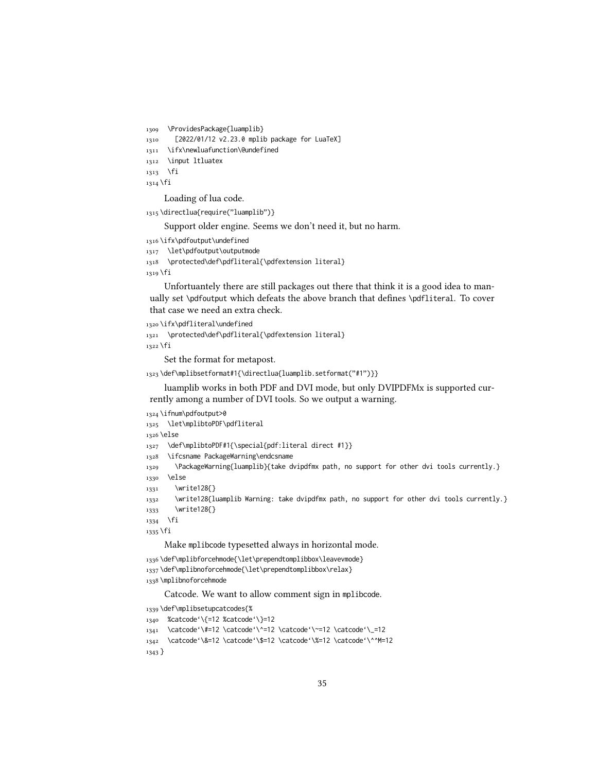1309 \ProvidesPackage{luamplib}

1310 [2022/01/12 v2.23.0 mplib package for LuaTeX]

```
1311 \ifx\newluafunction\@undefined
```
1312 \input ltluatex

```
1313 \fi
```
1314 \fi

Loading of lua code.

```
1315 \directlua{require("luamplib")}
```
Support older engine. Seems we don't need it, but no harm.

```
1316 \ifx\pdfoutput\undefined
```

```
1317 \let\pdfoutput\outputmode
```

```
1318 \protected\def\pdfliteral{\pdfextension literal}
```
1319 \fi

Unfortuantely there are still packages out there that think it is a good idea to manually set \pdfoutput which defeats the above branch that defines \pdfliteral. To cover that case we need an extra check.

```
1320 \ifx\pdfliteral\undefined
1321 \protected\def\pdfliteral{\pdfextension literal}
1322 \fi
```
Set the format for metapost.

```
1323 \def\mplibsetformat#1{\directlua{luamplib.setformat("#1")}}
```
luamplib works in both PDF and DVI mode, but only DVIPDFMx is supported currently among a number of DVI tools. So we output a warning.

```
1324 \ifnum\pdfoutput>0
```

```
1325 \let\mplibtoPDF\pdfliteral
```
1326 \else

```
1327 \def\mplibtoPDF#1{\special{pdf:literal direct #1}}
```
1328 \ifcsname PackageWarning\endcsname

```
1329 \PackageWarning{luamplib}{take dvipdfmx path, no support for other dvi tools currently.}
```

```
1330 \else
```

```
1331 \write128{}
```

```
1332 \write128{luamplib Warning: take dvipdfmx path, no support for other dvi tools currently.}
```

```
1333 \write128{}
```

```
1334 \fi
```
1335 \fi

Make mplibcode typesetted always in horizontal mode.

```
1336 \def\mplibforcehmode{\let\prependtomplibbox\leavevmode}
```

```
1337\def\mplibnoforcehmode{\let\prependtomplibbox\relax}
```

```
1338 \mplibnoforcehmode
```
Catcode. We want to allow comment sign in mplibcode.

```
1339 \def\mplibsetupcatcodes{%
1340 %catcode'\{=12 %catcode'\}=12
1341 \catcode'\#=12 \catcode'\^=12 \catcode'\~=12 \catcode'\_=12
1342 \catcode'\&=12 \catcode'\$=12 \catcode'\%=12 \catcode'\^^M=12
```

```
1343 }
```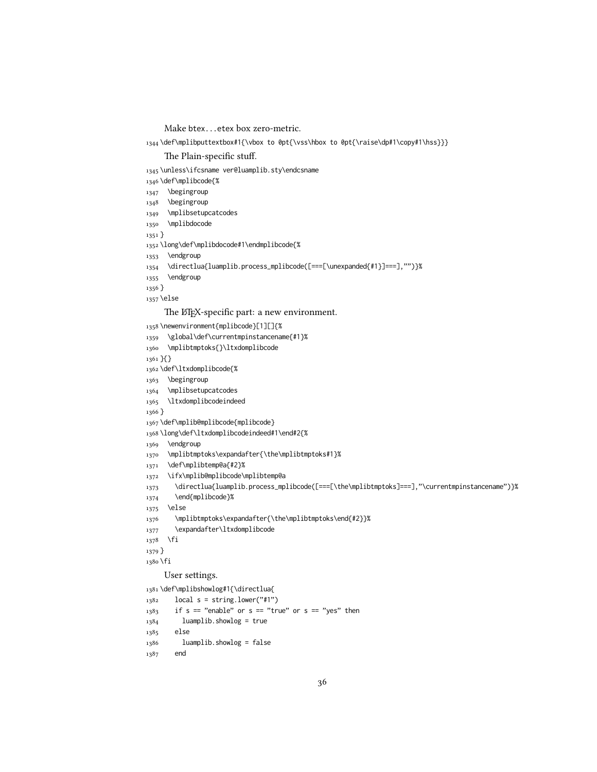Make btex...etex box zero-metric.

1344 \def\mplibputtextbox#1{\vbox to 0pt{\vss\hbox to 0pt{\raise\dp#1\copy#1\hss}}}

The Plain-specific stuff.

\unless\ifcsname ver@luamplib.sty\endcsname

- \def\mplibcode{%
- \begingroup
- 1348 \begingroup
- 1349 \mplibsetupcatcodes
- 1350 \mplibdocode
- }
- \long\def\mplibdocode#1\endmplibcode{%
- 1353 \endgroup
- \directlua{luamplib.process\_mplibcode([===[\unexpanded{#1}]===],"")}%
- 1355 \endgroup
- }
- \else

The LTFX-specific part: a new environment.

\newenvironment{mplibcode}[1][]{%

- \global\def\currentmpinstancename{#1}%
- \mplibtmptoks{}\ltxdomplibcode
- }{}
- \def\ltxdomplibcode{%
- 1363 \begingroup
- 1364 \mplibsetupcatcodes
- \ltxdomplibcodeindeed

}

- \def\mplib@mplibcode{mplibcode}
- \long\def\ltxdomplibcodeindeed#1\end#2{%
- \endgroup
- \mplibtmptoks\expandafter{\the\mplibtmptoks#1}%
- \def\mplibtemp@a{#2}%
- \ifx\mplib@mplibcode\mplibtemp@a
- 1373 \directlua{luamplib.process\_mplibcode([===[\the\mplibtmptoks]===],"\currentmpinstancename")}%
- \end{mplibcode}%
- \else
- \mplibtmptoks\expandafter{\the\mplibtmptoks\end{#2}}%
- \expandafter\ltxdomplibcode
- \fi
- }
- \fi

#### User settings.

\def\mplibshowlog#1{\directlua{

 $_{1382}$  local s = string.lower("#1")

- if s == "enable" or s == "true" or s == "yes" then
- luamplib.showlog = true
- else

```
1386 luamplib.showlog = false
```
end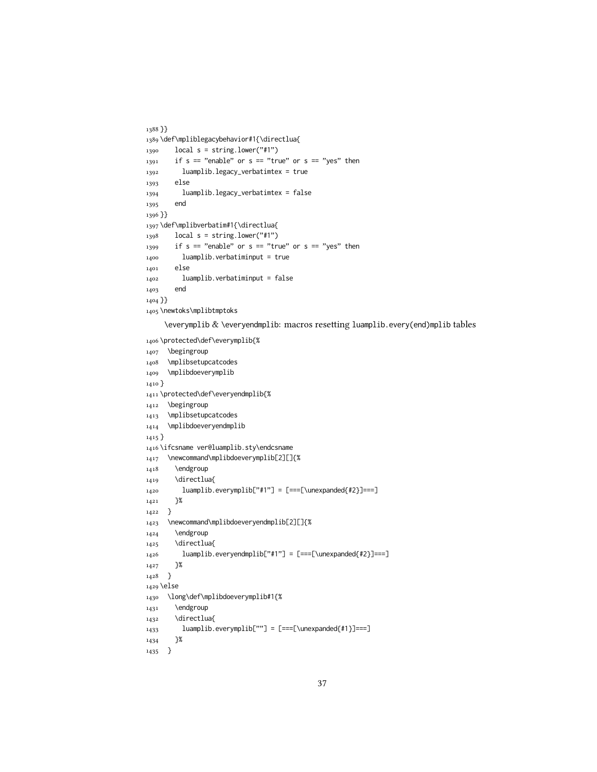```
1388 }}
1389 \def\mpliblegacybehavior#1{\directlua{
1390 local s = string.lower("#1")
_{1391} if s == "enable" or s == "true" or s == "yes" then
1392 luamplib.legacy_verbatimtex = true
1393 else
1394 luamplib.legacy_verbatimtex = false
1395 end
1396 }}
1397 \def\mplibverbatim#1{\directlua{
1398 local s = string.lower("#1")
_{1399} if s == "enable" or s == "true" or s == "yes" then
1400 luamplib.verbatiminput = true
1401 else
1402 luamplib.verbatiminput = false
1403 end
1404 }}
1405 \newtoks\mplibtmptoks
```

```
\everymplib & \everyendmplib: macros resetting luamplib.every(end)mplib tables
```

```
1406 \protected\def\everymplib{%
1407 \begingroup
1408 \mplibsetupcatcodes
1409 \mplibdoeverymplib
1410 }
1411 \protected\def\everyendmplib{%
1412 \begingroup
1413 \mplibsetupcatcodes
1414 \mplibdoeveryendmplib
1415 }
1416 \ifcsname ver@luamplib.sty\endcsname
1417 \newcommand\mplibdoeverymplib[2][]{%
1418 \endgroup
1419 \directlua{
1420 luamplib.everymplib["#1"] = [===[\unexpanded{#2}]===]
1421 }%
1422 }
1423 \newcommand\mplibdoeveryendmplib[2][]{%
1424 \endgroup
1425 \directlua{
1426 luamplib.everyendmplib["#1"] = [===[\unexpanded{#2}]===]
1427 }%
1428 }
1429 \else
1430 \long\def\mplibdoeverymplib#1{%
1431 \endgroup
1432 \directlua{
1433 luamplib.everymplib[""] = [===[\unexpanded{#1}]===]
1434 }%
1435 }
```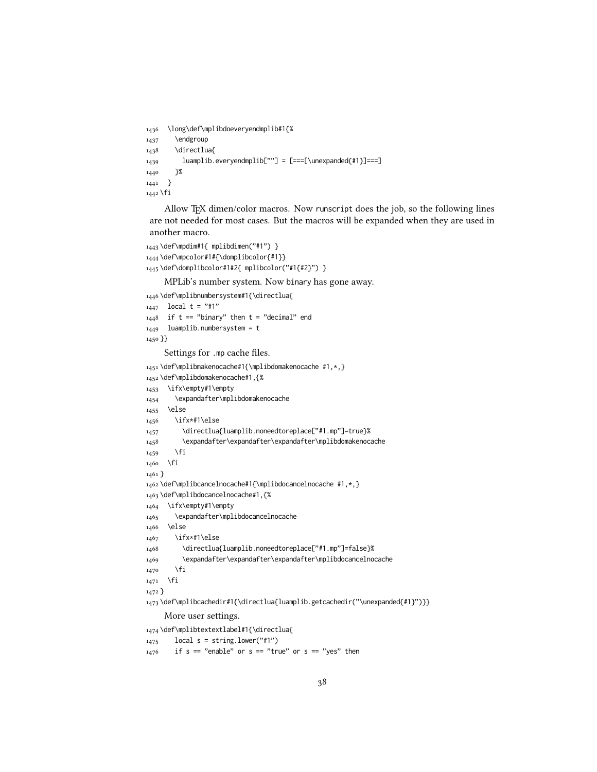```
1436 \long\def\mplibdoeveryendmplib#1{%
1437 \endgroup
1438 \directlua{
1439 luamplib.everyendmplib[""] = [===[\unexpanded{#1}]===]
1440 }%
1441 }
1442 \fi
```
Allow TEX dimen/color macros. Now runscript does the job, so the following lines are not needed for most cases. But the macros will be expanded when they are used in another macro.

```
1443 \def\mpdim#1{ mplibdimen("#1") }
1444 \def\mpcolor#1#{\domplibcolor{#1}}
1445 \def\domplibcolor#1#2{ mplibcolor("#1{#2}") }
```
MPLib's number system. Now binary has gone away.

1446 \def\mplibnumbersystem#1{\directlua{

```
_{1447} local t = "#1"
_{1448} if t == "binary" then t = "decimal" end
1449 luamplib.numbersystem = t
1450 }}
     Settings for .mp cache files.
1451 \def\mplibmakenocache#1{\mplibdomakenocache #1,*,}
1452 \def\mplibdomakenocache#1,{%
1453 \ifx\empty#1\empty
1454 \expandafter\mplibdomakenocache
1455 \else
1456 \ifx*#1\else
1457 \directlua{luamplib.noneedtoreplace["#1.mp"]=true}%
1458 \expandafter\expandafter\expandafter\mplibdomakenocache
1459 \fi
1460 \fi
1461 }
1462 \def\mplibcancelnocache#1{\mplibdocancelnocache #1,*,}
1463 \def\mplibdocancelnocache#1,{%
1464 \ifx\empty#1\empty
1465 \expandafter\mplibdocancelnocache
1466 \else
1467 \ifx*#1\else
1468 \directlua{luamplib.noneedtoreplace["#1.mp"]=false}%
1469 \expandafter\expandafter\expandafter\mplibdocancelnocache
1470 \fi
_{1471} \fi
1472 }
1473 \def\mplibcachedir#1{\directlua{luamplib.getcachedir("\unexpanded{#1}")}}
     More user settings.
1474 \def\mplibtextextlabel#1{\directlua{
_{1475} local s = string.lower("#1")
_{1476} if s == "enable" or s == "true" or s == "yes" then
```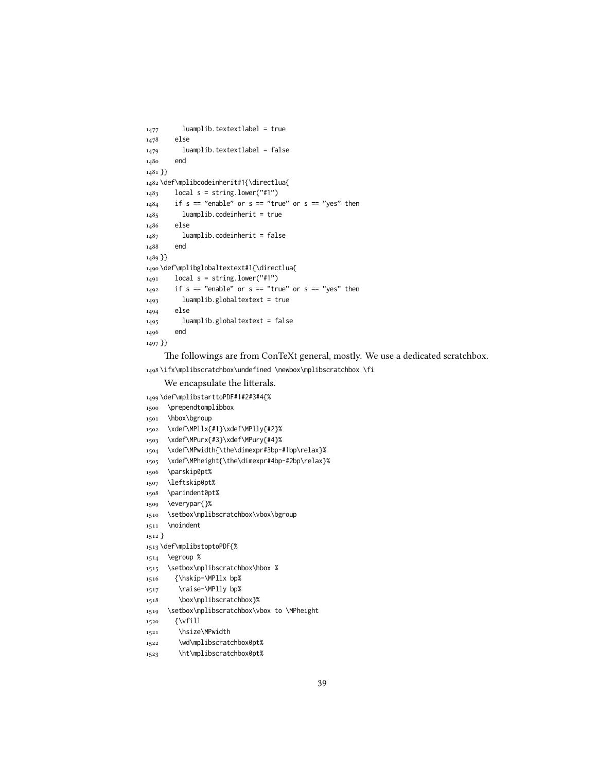```
1477 luamplib.textextlabel = true
1478 else
1479 luamplib.textextlabel = false
1480 end
1481 }}
1482 \def\mplibcodeinherit#1{\directlua{
_{1483} local s = string.lower("#1")
1484 if s == "enable" or s == "true" or s == "yes" then
1485 luamplib.codeinherit = true
1486 else
1487 luamplib.codeinherit = false
1488 end
1489 }}
1490 \def\mplibglobaltextext#1{\directlua{
_{1491} local s = string.lower("#1")
_{1492} if s == "enable" or s == "true" or s == "yes" then
1493 luamplib.globaltextext = true
1494 else
1495 luamplib.globaltextext = false
1496 end
1497 }}
```
The followings are from ConTeXt general, mostly. We use a dedicated scratchbox.

\ifx\mplibscratchbox\undefined \newbox\mplibscratchbox \fi

```
We encapsulate the litterals.
```
\def\mplibstarttoPDF#1#2#3#4{%

```
1500 \prependtomplibbox
```

```
1501 \hbox\bgroup
```

```
1502 \xdef\MPllx{#1}\xdef\MPlly{#2}%
```

```
1503 \xdef\MPurx{#3}\xdef\MPury{#4}%
```
- \xdef\MPwidth{\the\dimexpr#3bp-#1bp\relax}%
- \xdef\MPheight{\the\dimexpr#4bp-#2bp\relax}%
- \parskip0pt%
- \leftskip0pt%
- \parindent0pt%
- \everypar{}%
- 1510 \setbox\mplibscratchbox\vbox\bgroup
- 1511 \noindent

}

- \def\mplibstoptoPDF{%
- \egroup %
- 1515 \setbox\mplibscratchbox\hbox %
- {\hskip-\MPllx bp%
- \raise-\MPlly bp%
- \box\mplibscratchbox}%
- \setbox\mplibscratchbox\vbox to \MPheight
- {\vfill
- 1521 \hsize\MPwidth
- 1522 \wd\mplibscratchbox0pt%
- \ht\mplibscratchbox0pt%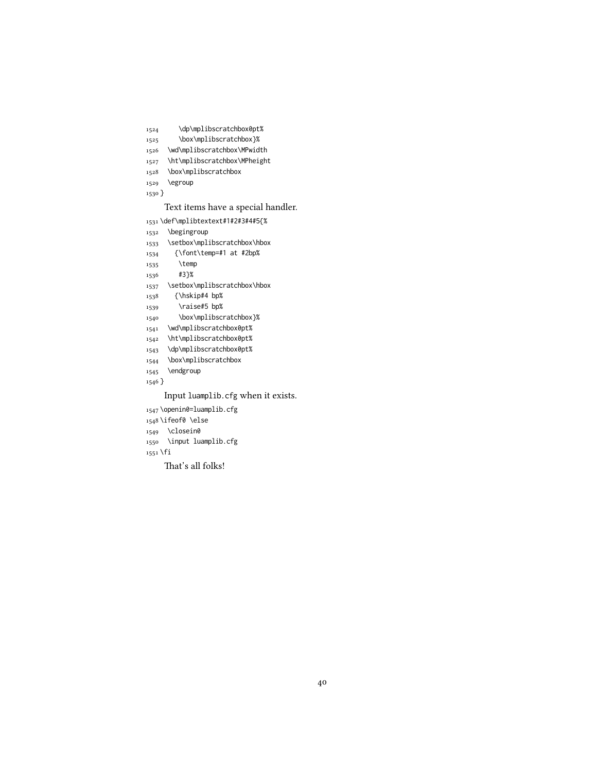- \dp\mplibscratchbox0pt%
- 1525 \box\mplibscratchbox}%
- \wd\mplibscratchbox\MPwidth
- \ht\mplibscratchbox\MPheight
- \box\mplibscratchbox
- \egroup
- }

#### Text items have a special handler.

\def\mplibtextext#1#2#3#4#5{%

- \begingroup
- \setbox\mplibscratchbox\hbox
- {\font\temp=#1 at #2bp%
- \temp
- #3}%
- \setbox\mplibscratchbox\hbox
- {\hskip#4 bp%
- 1539 \raise#5 bp%
- \box\mplibscratchbox}%
- \wd\mplibscratchbox0pt%
- \ht\mplibscratchbox0pt%
- \dp\mplibscratchbox0pt%
- \box\mplibscratchbox
- \endgroup
- $_{1546}$   $\}$

#### Input luamplib.cfg when it exists.

- \openin0=luamplib.cfg
- \ifeof0 \else
- \closein0
- \input luamplib.cfg
- \fi

That's all folks!